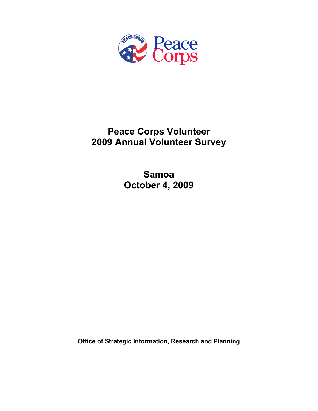

# **Peace Corps Volunteer 2009 Annual Volunteer Survey**

**Samoa October 4, 2009** 

**Office of Strategic Information, Research and Planning**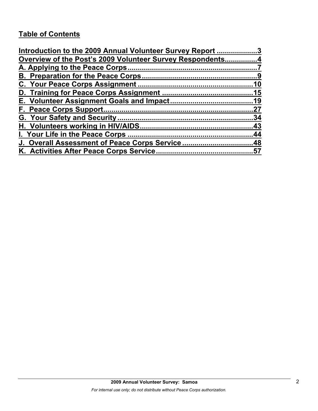# **Table of Contents**

| Introduction to the 2009 Annual Volunteer Survey Report 3 |     |
|-----------------------------------------------------------|-----|
| Overview of the Post's 2009 Volunteer Survey Respondents4 |     |
|                                                           |     |
|                                                           |     |
|                                                           |     |
|                                                           |     |
|                                                           |     |
|                                                           | 27  |
|                                                           | .34 |
|                                                           |     |
|                                                           |     |
| J. Overall Assessment of Peace Corps Service48            |     |
|                                                           |     |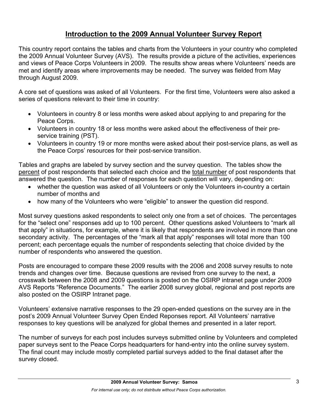# **Introduction to the 2009 Annual Volunteer Survey Report**

This country report contains the tables and charts from the Volunteers in your country who completed the 2009 Annual Volunteer Survey (AVS). The results provide a picture of the activities, experiences and views of Peace Corps Volunteers in 2009. The results show areas where Volunteers' needs are met and identify areas where improvements may be needed. The survey was fielded from May through August 2009.

A core set of questions was asked of all Volunteers. For the first time, Volunteers were also asked a series of questions relevant to their time in country:

- Volunteers in country 8 or less months were asked about applying to and preparing for the Peace Corps.
- Volunteers in country 18 or less months were asked about the effectiveness of their preservice training (PST).
- Volunteers in country 19 or more months were asked about their post-service plans, as well as the Peace Corps' resources for their post-service transition.

Tables and graphs are labeled by survey section and the survey question. The tables show the percent of post respondents that selected each choice and the total number of post respondents that answered the question. The number of responses for each question will vary, depending on:

- whether the question was asked of all Volunteers or only the Volunteers in-country a certain number of months and
- how many of the Volunteers who were "eligible" to answer the question did respond.

Most survey questions asked respondents to select only one from a set of choices. The percentages for the "select one" responses add up to 100 percent. Other questions asked Volunteers to "mark all that apply" in situations, for example, where it is likely that respondents are involved in more than one secondary activity. The percentages of the "mark all that apply" responses will total more than 100 percent; each percentage equals the number of respondents selecting that choice divided by the number of respondents who answered the question.

Posts are encouraged to compare these 2009 results with the 2006 and 2008 survey results to note trends and changes over time. Because questions are revised from one survey to the next, a crosswalk between the 2008 and 2009 questions is posted on the OSIRP intranet page under 2009 AVS Reports "Reference Documents." The earlier 2008 survey global, regional and post reports are also posted on the OSIRP Intranet page.

Volunteers' extensive narrative responses to the 29 open-ended questions on the survey are in the post's 2009 Annual Volunteer Survey Open Ended Reponses report. All Volunteers' narrative responses to key questions will be analyzed for global themes and presented in a later report.

The number of surveys for each post includes surveys submitted online by Volunteers and completed paper surveys sent to the Peace Corps headquarters for hand-entry into the online survey system. The final count may include mostly completed partial surveys added to the final dataset after the survey closed.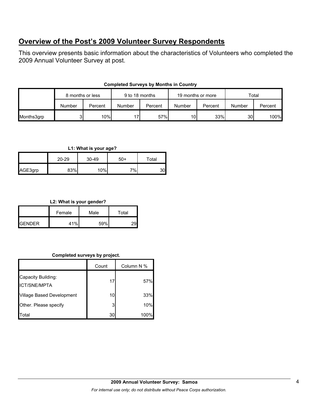# **Overview of the Post's 2009 Volunteer Survey Respondents**

This overview presents basic information about the characteristics of Volunteers who completed the 2009 Annual Volunteer Survey at post.

| <b>Completed Surveys by Months in Country</b> |
|-----------------------------------------------|
|-----------------------------------------------|

|            | 8 months or less |         | 9 to 18 months |         | 19 months or more |         | Total           |         |
|------------|------------------|---------|----------------|---------|-------------------|---------|-----------------|---------|
|            | Number           | Percent | Number         | Percent | Number            | Percent | Number          | Percent |
| Months3grp |                  | 10%     |                | 57%     | 10 <sub>l</sub>   | 33%     | 30 <sup>1</sup> | 100%    |

### **L1: What is your age?**

|         | $20 - 29$ | 30-49 | $50+$ | Total |
|---------|-----------|-------|-------|-------|
| AGE3grp | 83%       | 10%   | 7%    | 30    |

### **L2: What is your gender?**

|                | Female | Male | Total |  |
|----------------|--------|------|-------|--|
| <b>IGENDER</b> | 11 O/_ | 59%  |       |  |

# **Completed surveys by project.**

|                                           | Count | Column N % |
|-------------------------------------------|-------|------------|
| Capacity Building:<br><b>ICT/SNE/MPTA</b> | 17    | 57%        |
| Village Based Development                 | 10    | 33%        |
| Other. Please specify                     | 3     | 10%        |
| Total                                     | 30    | 100%       |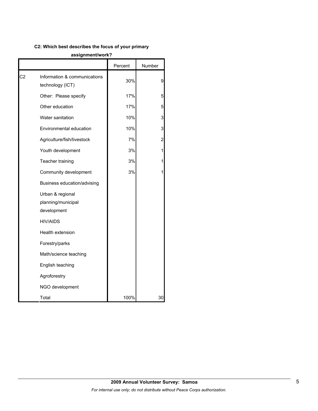# **C2: Which best describes the focus of your primary**

#### **assignment/work?**

|    |                                                       | Percent | Number |
|----|-------------------------------------------------------|---------|--------|
| C2 | Information & communications<br>technology (ICT)      | 30%     | 9      |
|    | Other: Please specify                                 | 17%     | 5      |
|    | Other education                                       | 17%     | 5      |
|    | Water sanitation                                      | 10%     | 3      |
|    | Environmental education                               | 10%     | 3      |
|    | Agriculture/fish/livestock                            | 7%      | 2      |
|    | Youth development                                     | 3%      | 1      |
|    | Teacher training                                      | 3%      |        |
|    | Community development                                 | 3%      |        |
|    | Business education/advising                           |         |        |
|    | Urban & regional<br>planning/municipal<br>development |         |        |
|    | <b>HIV/AIDS</b>                                       |         |        |
|    | Health extension                                      |         |        |
|    | Forestry/parks                                        |         |        |
|    | Math/science teaching                                 |         |        |
|    | English teaching                                      |         |        |
|    | Agroforestry                                          |         |        |
|    | NGO development                                       |         |        |
|    | Total                                                 | 100%    | 30     |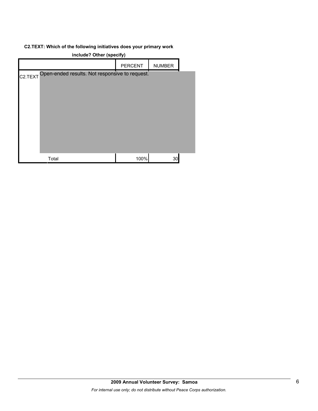# **C2.TEXT: Which of the following initiatives does your primary work**

| include? Other (specify)                               |                |               |  |  |  |
|--------------------------------------------------------|----------------|---------------|--|--|--|
|                                                        | <b>PERCENT</b> | <b>NUMBER</b> |  |  |  |
| C2.TEXT Open-ended results. Not responsive to request. |                |               |  |  |  |
| Total                                                  | 100%           | 30            |  |  |  |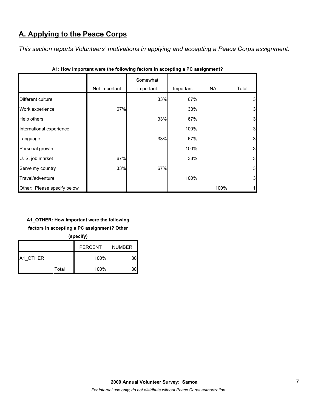# **A. Applying to the Peace Corps**

*This section reports Volunteers' motivations in applying and accepting a Peace Corps assignment.* 

|                             |               | Somewhat  |           |      |                         |
|-----------------------------|---------------|-----------|-----------|------|-------------------------|
|                             | Not Important | important | Important | NA   | Total                   |
| Different culture           |               | 33%       | 67%       |      | 3                       |
| Work experience             | 67%           |           | 33%       |      | $\overline{\mathbf{3}}$ |
| Help others                 |               | 33%       | 67%       |      | 3                       |
| International experience    |               |           | 100%      |      | 3                       |
| Language                    |               | 33%       | 67%       |      | 3                       |
| Personal growth             |               |           | 100%      |      | $\mathbf{3}$            |
| U. S. job market            | 67%           |           | 33%       |      | $\mathbf{3}$            |
| Serve my country            | 33%           | 67%       |           |      | $\mathbf{3}$            |
| Travel/adventure            |               |           | 100%      |      | $\mathbf{3}$            |
| Other: Please specify below |               |           |           | 100% | 1                       |

**A1: How important were the following factors in accepting a PC assignment?**

# **A1\_OTHER: How important were the following**

**factors in accepting a PC assignment? Other** 

**(specify)**

|                 |       | <b>PERCENT</b> | <b>NUMBER</b> |
|-----------------|-------|----------------|---------------|
| <b>A1 OTHER</b> |       | 100%           |               |
|                 | Total | 100%           |               |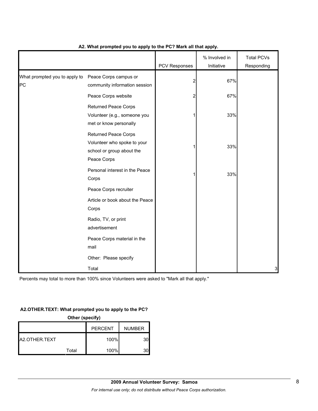|                                     |                                                                                                        | <b>PCV Responses</b> | % Involved in<br>Initiative | <b>Total PCVs</b><br>Responding |
|-------------------------------------|--------------------------------------------------------------------------------------------------------|----------------------|-----------------------------|---------------------------------|
| What prompted you to apply to<br>PC | Peace Corps campus or<br>community information session                                                 | 2                    | 67%                         |                                 |
|                                     | Peace Corps website                                                                                    | 2                    | 67%                         |                                 |
|                                     | <b>Returned Peace Corps</b><br>Volunteer (e.g., someone you<br>met or know personally                  | 1                    | 33%                         |                                 |
|                                     | <b>Returned Peace Corps</b><br>Volunteer who spoke to your<br>school or group about the<br>Peace Corps |                      | 33%                         |                                 |
|                                     | Personal interest in the Peace<br>Corps                                                                | 1                    | 33%                         |                                 |
|                                     | Peace Corps recruiter                                                                                  |                      |                             |                                 |
|                                     | Article or book about the Peace<br>Corps                                                               |                      |                             |                                 |
|                                     | Radio, TV, or print<br>advertisement                                                                   |                      |                             |                                 |
|                                     | Peace Corps material in the<br>mail                                                                    |                      |                             |                                 |
|                                     | Other: Please specify                                                                                  |                      |                             |                                 |
|                                     | Total                                                                                                  |                      |                             | 3                               |

# **A2. What prompted you to apply to the PC? Mark all that apply.**

Percents may total to more than 100% since Volunteers were asked to "Mark all that apply."

### **A2.OTHER.TEXT: What prompted you to apply to the PC?**

| Other (specify)                 |  |      |    |  |  |
|---------------------------------|--|------|----|--|--|
| <b>NUMBER</b><br><b>PERCENT</b> |  |      |    |  |  |
| A2.OTHER.TEXT                   |  | 100% | 30 |  |  |
| 100%<br>Total                   |  |      |    |  |  |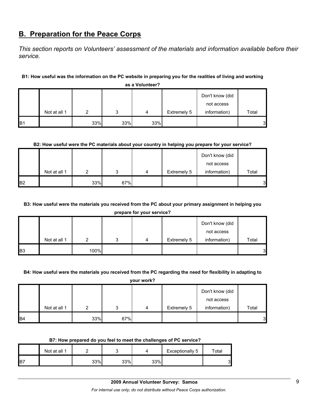# **B. Preparation for the Peace Corps**

*This section reports on Volunteers' assessment of the materials and information available before their service.* 

# **B1: How useful was the information on the PC website in preparing you for the realities of living and working**

|                |              |     |     |     |             | Don't know (did<br>not access |       |  |  |
|----------------|--------------|-----|-----|-----|-------------|-------------------------------|-------|--|--|
|                | Not at all 1 | ◠   | ◠   | 4   | Extremely 5 | information)                  | Total |  |  |
|                |              |     |     |     |             |                               |       |  |  |
| B <sub>1</sub> |              | 33% | 33% | 33% |             |                               | 3     |  |  |

**as a Volunteer?**

### **B2: How useful were the PC materials about your country in helping you prepare for your service?**

|                |              |     |     |   |             | Don't know (did |       |
|----------------|--------------|-----|-----|---|-------------|-----------------|-------|
|                |              |     |     |   |             | not access      |       |
|                | Not at all 1 |     | ົ   | 4 | Extremely 5 | information)    | Total |
| B <sub>2</sub> |              | 33% | 67% |   |             |                 | 3     |

# **B3: How useful were the materials you received from the PC about your primary assignment in helping you**

**prepare for your service?**

|                |              |      |   |   |             | Don't know (did |       |
|----------------|--------------|------|---|---|-------------|-----------------|-------|
|                |              |      |   |   |             | not access      |       |
|                | Not at all 1 |      | ິ | 4 | Extremely 5 | information)    | Total |
| B <sub>3</sub> |              | 100% |   |   |             |                 | 3     |

#### **B4: How useful were the materials you received from the PC regarding the need for flexibility in adapting to**

**your work?**

|           |              |     |     |   |             | Don't know (did |       |
|-----------|--------------|-----|-----|---|-------------|-----------------|-------|
|           |              |     |     |   |             | not access      |       |
|           | Not at all 1 |     | າ   | 4 | Extremely 5 | information)    | Total |
| <b>B4</b> |              | 33% | 67% |   |             |                 | 3     |

#### **B7: How prepared do you feel to meet the challenges of PC service?**

|     | Not at all 1 |     |     |     | Exceptionally 5 | $\tau$ otal |
|-----|--------------|-----|-----|-----|-----------------|-------------|
| IB7 |              | 33% | 33% | 33% |                 | 3           |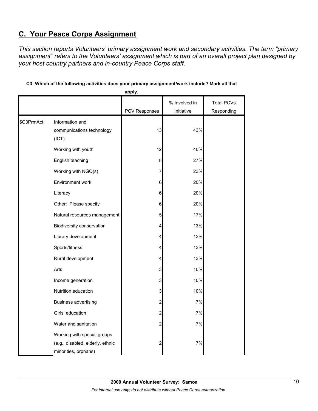# **C. Your Peace Corps Assignment**

*This section reports Volunteers' primary assignment work and secondary activities. The term "primary assignment" refers to the Volunteers' assignment which is part of an overall project plan designed by your host country partners and in-country Peace Corps staff.* 

|            |                                                                                         | apply.               |               |                   |
|------------|-----------------------------------------------------------------------------------------|----------------------|---------------|-------------------|
|            |                                                                                         |                      | % Involved in | <b>Total PCVs</b> |
|            |                                                                                         | <b>PCV Responses</b> | Initiative    | Responding        |
| \$C3PrmAct | Information and<br>communications technology<br>(ICT)                                   | 13                   | 43%           |                   |
|            | Working with youth                                                                      | 12                   | 40%           |                   |
|            | English teaching                                                                        | 8                    | 27%           |                   |
|            | Working with NGO(s)                                                                     | 7                    | 23%           |                   |
|            | Environment work                                                                        | 6                    | 20%           |                   |
|            | Literacy                                                                                | 6                    | 20%           |                   |
|            | Other: Please specify                                                                   | $\,6$                | 20%           |                   |
|            | Natural resources management                                                            | 5                    | 17%           |                   |
|            | Biodiversity conservation                                                               | 4                    | 13%           |                   |
|            | Library development                                                                     | 4                    | 13%           |                   |
|            | Sports/fitness                                                                          | 4                    | 13%           |                   |
|            | Rural development                                                                       | 4                    | 13%           |                   |
|            | Arts                                                                                    | 3                    | 10%           |                   |
|            | Income generation                                                                       | 3                    | 10%           |                   |
|            | Nutrition education                                                                     | $\mathsf 3$          | 10%           |                   |
|            | <b>Business advertising</b>                                                             | $\boldsymbol{2}$     | 7%            |                   |
|            | Girls' education                                                                        | $\overline{2}$       | 7%            |                   |
|            | Water and sanitation                                                                    | 2                    | 7%            |                   |
|            | Working with special groups<br>(e.g., disabled, elderly, ethnic<br>minorities, orphans) | 2                    | 7%            |                   |

# **C3: Which of the following activities does your primary assignment/work include? Mark all that**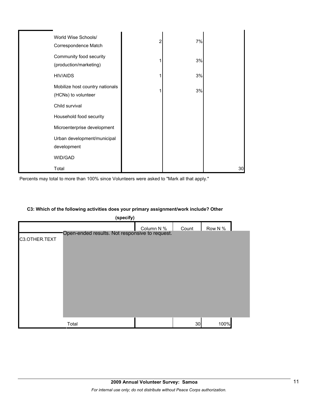| World Wise Schools/<br>Correspondence Match            | 2 | 7% |    |
|--------------------------------------------------------|---|----|----|
| Community food security<br>(production/marketing)      |   | 3% |    |
| <b>HIV/AIDS</b>                                        |   | 3% |    |
| Mobilize host country nationals<br>(HCNs) to volunteer |   | 3% |    |
| Child survival                                         |   |    |    |
| Household food security                                |   |    |    |
| Microenterprise development                            |   |    |    |
| Urban development/municipal<br>development             |   |    |    |
| WID/GAD                                                |   |    |    |
| Total                                                  |   |    | 30 |

|  |  |  | C3: Which of the following activities does your primary assignment/work include? Other |
|--|--|--|----------------------------------------------------------------------------------------|
|  |  |  |                                                                                        |

|               | (specify)                                      |            |       |         |  |  |  |  |  |
|---------------|------------------------------------------------|------------|-------|---------|--|--|--|--|--|
| C3.OTHER.TEXT | Open-ended results. Not responsive to request. | Column N % | Count | Row N % |  |  |  |  |  |
|               | Total                                          |            | 30    | 100%    |  |  |  |  |  |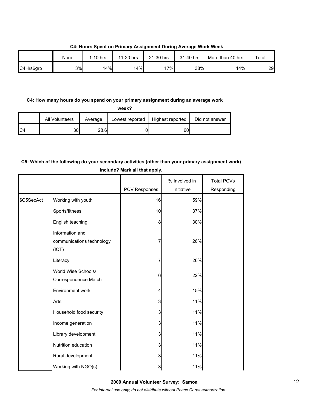|           | None | $1-10$ hrs | 11-20 hrs | 21-30 hrs | 31-40 hrs | More than 40 hrs | Total |
|-----------|------|------------|-----------|-----------|-----------|------------------|-------|
| C4Hrs6grp | 3%   | 14%        | 14%       | 17%       | 38%       | 14%              | 29    |

**C4: Hours Spent on Primary Assignment During Average Work Week**

### **C4: How many hours do you spend on your primary assignment during an average work**

|                | All Volunteers | Average | Lowest reported | Highest reported | Did not answer |
|----------------|----------------|---------|-----------------|------------------|----------------|
| C <sub>4</sub> | 30l            | 28.6    |                 | 60               |                |

# **C5: Which of the following do your secondary activities (other than your primary assignment work) include? Mark all that apply.**

|            |                                                       | PCV Responses | % Involved in<br>Initiative | <b>Total PCVs</b><br>Responding |
|------------|-------------------------------------------------------|---------------|-----------------------------|---------------------------------|
| \$C5SecAct | Working with youth                                    | 16            | 59%                         |                                 |
|            | Sports/fitness                                        | 10            | 37%                         |                                 |
|            | English teaching                                      | 8             | 30%                         |                                 |
|            | Information and<br>communications technology<br>(ICT) | 7             | 26%                         |                                 |
|            | Literacy                                              | 7             | 26%                         |                                 |
|            | World Wise Schools/<br>Correspondence Match           | 6             | 22%                         |                                 |
|            | Environment work                                      | 4             | 15%                         |                                 |
|            | Arts                                                  | 3             | 11%                         |                                 |
|            | Household food security                               | 3             | 11%                         |                                 |
|            | Income generation                                     | 3             | 11%                         |                                 |
|            | Library development                                   | 3             | 11%                         |                                 |
|            | Nutrition education                                   | 3             | 11%                         |                                 |
|            | Rural development                                     | 3             | 11%                         |                                 |
|            | Working with NGO(s)                                   | 3             | 11%                         |                                 |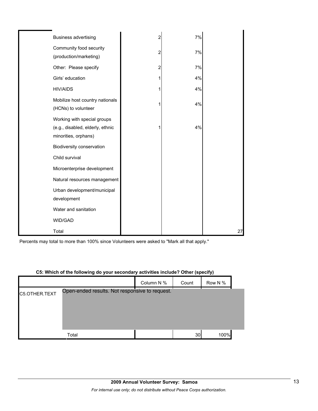| <b>Business advertising</b>                                                             | 2 | 7% |    |
|-----------------------------------------------------------------------------------------|---|----|----|
| Community food security<br>(production/marketing)                                       | 2 | 7% |    |
| Other: Please specify                                                                   | 2 | 7% |    |
| Girls' education                                                                        | 1 | 4% |    |
| <b>HIV/AIDS</b>                                                                         | 1 | 4% |    |
| Mobilize host country nationals<br>(HCNs) to volunteer                                  |   | 4% |    |
| Working with special groups<br>(e.g., disabled, elderly, ethnic<br>minorities, orphans) | 1 | 4% |    |
| Biodiversity conservation                                                               |   |    |    |
| Child survival                                                                          |   |    |    |
| Microenterprise development                                                             |   |    |    |
| Natural resources management                                                            |   |    |    |
| Urban development/municipal<br>development                                              |   |    |    |
| Water and sanitation                                                                    |   |    |    |
| WID/GAD                                                                                 |   |    |    |
| Total                                                                                   |   |    | 27 |

Percents may total to more than 100% since Volunteers were asked to "Mark all that apply."

### **C5: Which of the following do your secondary activities include? Other (specify)**

|               |                                                | Column N % | Count | Row N % |  |
|---------------|------------------------------------------------|------------|-------|---------|--|
| C5.OTHER.TEXT | Open-ended results. Not responsive to request. |            |       |         |  |
|               |                                                |            |       |         |  |
|               |                                                |            |       |         |  |
|               |                                                |            |       |         |  |
|               | Total                                          |            | 30    | 100%    |  |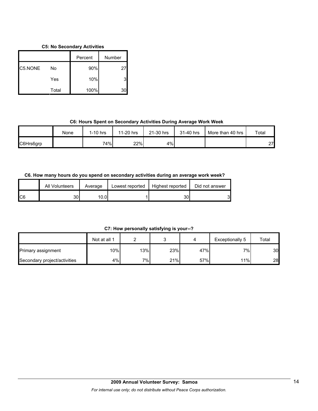# **C5: No Secondary Activities**

|         |       | Percent | Number |
|---------|-------|---------|--------|
| C5.NONE | No    | 90%     | 27     |
|         | Yes   | 10%     |        |
|         | Total | 100%    |        |

# **C6: Hours Spent on Secondary Activities During Average Work Week**

|           | None | $1-10$ hrs | 11-20 hrs | 21-30 hrs | 31-40 hrs | More than 40 hrs | Total |
|-----------|------|------------|-----------|-----------|-----------|------------------|-------|
| C6Hrs6grp |      | 74%        | 22%       | 4%        |           |                  | 27L   |

# **C6. How many hours do you spend on secondary activities during an average work week?**

|     | All Volunteers | Average | Lowest reported | Highest reported | Did not answer |
|-----|----------------|---------|-----------------|------------------|----------------|
| IC6 | 30             | 10.01   |                 | 30               | C<br>J         |

**C7: How personally satisfying is your--?**

|                              | Not at all 1 |     |     |     | Exceptionally 5 | Total |
|------------------------------|--------------|-----|-----|-----|-----------------|-------|
| <b>Primary assignment</b>    | 10%          | 13% | 23% | 47% | 7%              | 30    |
| Secondary project/activities | 4%           | 7%  | 21% | 57% | 11%             | 28    |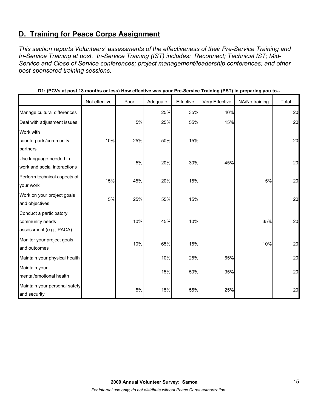# **D. Training for Peace Corps Assignment**

*This section reports Volunteers' assessments of the effectiveness of their Pre-Service Training and In-Service Training at post. In-Service Training (IST) includes: Reconnect; Technical IST; Mid-Service and Close of Service conferences; project management/leadership conferences; and other post-sponsored training sessions.* 

|                               | Not effective | Poor | Adequate | Effective | Very Effective | NA/No training | Total |
|-------------------------------|---------------|------|----------|-----------|----------------|----------------|-------|
| Manage cultural differences   |               |      | 25%      | 35%       | 40%            |                | 20    |
| Deal with adjustment issues   |               | 5%   | 25%      | 55%       | 15%            |                | 20    |
| Work with                     |               |      |          |           |                |                |       |
| counterparts/community        | 10%           | 25%  | 50%      | 15%       |                |                | 20    |
| partners                      |               |      |          |           |                |                |       |
| Use language needed in        |               | 5%   | 20%      | 30%       | 45%            |                | 20    |
| work and social interactions  |               |      |          |           |                |                |       |
| Perform technical aspects of  | 15%           | 45%  | 20%      | 15%       |                | 5%             | 20    |
| your work                     |               |      |          |           |                |                |       |
| Work on your project goals    | 5%            | 25%  | 55%      | 15%       |                |                | 20    |
| and objectives                |               |      |          |           |                |                |       |
| Conduct a participatory       |               |      |          |           |                |                |       |
| community needs               |               | 10%  | 45%      | 10%       |                | 35%            | 20    |
| assessment (e.g., PACA)       |               |      |          |           |                |                |       |
| Monitor your project goals    |               | 10%  | 65%      | 15%       |                | 10%            | 20    |
| and outcomes                  |               |      |          |           |                |                |       |
| Maintain your physical health |               |      | 10%      | 25%       | 65%            |                | 20    |
| Maintain your                 |               |      | 15%      | 50%       | 35%            |                | 20    |
| mental/emotional health       |               |      |          |           |                |                |       |
| Maintain your personal safety |               |      |          |           |                |                | 20    |
| and security                  |               | 5%   | 15%      | 55%       | 25%            |                |       |

**D1: (PCVs at post 18 months or less) How effective was your Pre-Service Training (PST) in preparing you to--**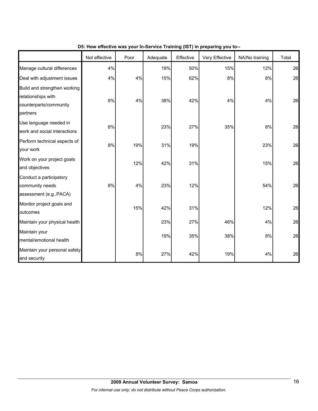|                                                                                          | Not effective | Poor | Adequate | Effective | $\frac{1}{2}$ is the mass from the control training (i.e. i) in properting from the<br>Very Effective | NA/No training | Total |
|------------------------------------------------------------------------------------------|---------------|------|----------|-----------|-------------------------------------------------------------------------------------------------------|----------------|-------|
| Manage cultural differences                                                              | 4%            |      | 19%      | 50%       | 15%                                                                                                   | 12%            | 26    |
| Deal with adjustment issues                                                              | 4%            | 4%   | 15%      | 62%       | $8\%$                                                                                                 | 8%             | 26    |
| Build and strengthen working<br>relationships with<br>counterparts/community<br>partners | 8%            | 4%   | 38%      | 42%       | 4%                                                                                                    | 4%             | 26    |
| Use language needed in<br>work and social interactions                                   | 8%            |      | 23%      | 27%       | 35%                                                                                                   | 8%             | 26    |
| Perform technical aspects of<br>your work                                                | 8%            | 19%  | 31%      | 19%       |                                                                                                       | 23%            | 26    |
| Work on your project goals<br>and objectives                                             |               | 12%  | 42%      | 31%       |                                                                                                       | 15%            | 26    |
| Conduct a participatory<br>community needs<br>assessment (e.g., PACA)                    | 8%            | 4%   | 23%      | 12%       |                                                                                                       | 54%            | 26    |
| Monitor project goals and<br>outcomes                                                    |               | 15%  | 42%      | 31%       |                                                                                                       | 12%            | 26    |
| Maintain your physical health                                                            |               |      | 23%      | 27%       | 46%                                                                                                   | 4%             | 26    |
| Maintain your<br>mental/emotional health                                                 |               |      | 19%      | 35%       | 38%                                                                                                   | 8%             | 26    |
| Maintain your personal safety<br>and security                                            |               | 8%   | 27%      | 42%       | 19%                                                                                                   | 4%             | 26    |

# **D5: How effective was your In-Service Training (IST) in preparing you to--**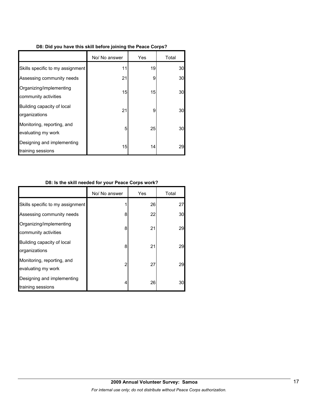|  |  |  | D8: Did you have this skill before joining the Peace Corps? |  |  |
|--|--|--|-------------------------------------------------------------|--|--|
|  |  |  |                                                             |  |  |

|                                                  | No/ No answer | Yes | Total |
|--------------------------------------------------|---------------|-----|-------|
| Skills specific to my assignment                 | 11            | 19  | 30    |
| Assessing community needs                        | 21            | 9   | 30    |
| Organizing/implementing<br>community activities  | 15            | 15  | 30    |
| Building capacity of local<br>organizations      | 21            | 9   | 30    |
| Monitoring, reporting, and<br>evaluating my work | 5             | 25  | 30    |
| Designing and implementing<br>training sessions  | 15            | 14  | 29    |

# **D8: Is the skill needed for your Peace Corps work?**

|                                                  | No/ No answer | Yes | Total |
|--------------------------------------------------|---------------|-----|-------|
| Skills specific to my assignment                 |               | 26  | 27    |
| Assessing community needs                        | 8             | 22  | 30    |
| Organizing/implementing<br>community activities  | 8             | 21  | 29    |
| Building capacity of local<br>organizations      | 8             | 21  | 29    |
| Monitoring, reporting, and<br>evaluating my work | 2             | 27  | 29    |
| Designing and implementing<br>training sessions  | 4             | 26  | 30    |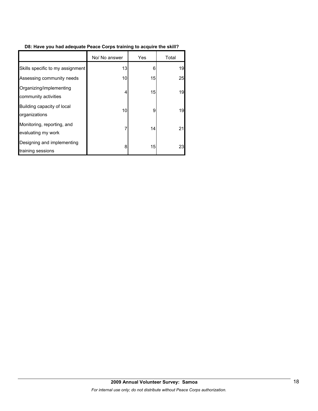# **D8: Have you had adequate Peace Corps training to acquire the skill?**

|                                                  | No/ No answer | Yes | Total |
|--------------------------------------------------|---------------|-----|-------|
| Skills specific to my assignment                 | 13            | 6   | 19    |
| Assessing community needs                        | 10            | 15  | 25    |
| Organizing/implementing<br>community activities  | 4             | 15  | 19    |
| Building capacity of local<br>organizations      | 10            | 9   | 19    |
| Monitoring, reporting, and<br>evaluating my work | 7             | 14  | 21    |
| Designing and implementing<br>training sessions  | 8             | 15  | 23    |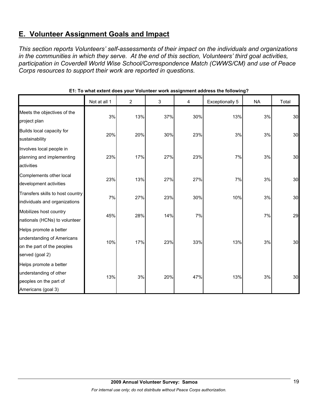# **E. Volunteer Assignment Goals and Impact**

*This section reports Volunteers' self-assessments of their impact on the individuals and organizations in the communities in which they serve. At the end of this section, Volunteers' third goal activities, participation in Coverdell World Wise School/Correspondence Match (CWWS/CM) and use of Peace Corps resources to support their work are reported in questions.* 

|                                                                                                       | Not at all 1 | 2   | 3   | 4   | <b>Exceptionally 5</b> | <b>NA</b> | Total |
|-------------------------------------------------------------------------------------------------------|--------------|-----|-----|-----|------------------------|-----------|-------|
| Meets the objectives of the<br>project plan                                                           | 3%           | 13% | 37% | 30% | 13%                    | 3%        | 30    |
| Builds local capacity for<br>sustainability                                                           | 20%          | 20% | 30% | 23% | 3%                     | 3%        | 30    |
| Involves local people in<br>planning and implementing<br>activities                                   | 23%          | 17% | 27% | 23% | 7%                     | 3%        | 30    |
| Complements other local<br>development activities                                                     | 23%          | 13% | 27% | 27% | 7%                     | 3%        | 30    |
| Transfers skills to host country<br>individuals and organizations                                     | 7%           | 27% | 23% | 30% | 10%                    | 3%        | 30    |
| Mobilizes host country<br>nationals (HCNs) to volunteer                                               | 45%          | 28% | 14% | 7%  |                        | 7%        | 29    |
| Helps promote a better<br>understanding of Americans<br>on the part of the peoples<br>served (goal 2) | 10%          | 17% | 23% | 33% | 13%                    | 3%        | 30    |
| Helps promote a better<br>understanding of other<br>peoples on the part of<br>Americans (goal 3)      | 13%          | 3%  | 20% | 47% | 13%                    | 3%        | 30    |

# **E1: To what extent does your Volunteer work assignment address the following?**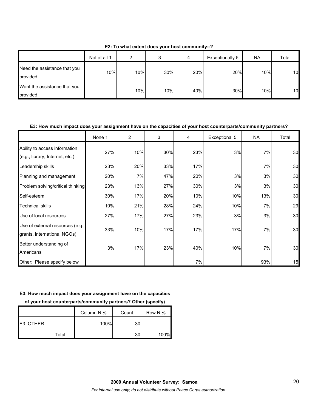|                                          | Not at all 1 | ົ   | ິ<br>د | 4   | Exceptionally 5 | NA. | Total |
|------------------------------------------|--------------|-----|--------|-----|-----------------|-----|-------|
| Need the assistance that you<br>provided | 10%          | 10% | 30%    | 20% | 20%             | 10% | 10    |
| Want the assistance that you<br>provided |              | 10% | 10%    | 40% | 30%             | 10% | 10    |

**E2: To what extent does your host community--?**

# **E3: How much impact does your assignment have on the capacities of your host counterparts/community partners?**

|                                                                  | None 1 | $\overline{2}$ | 3   | 4   | Exceptional 5 | <b>NA</b> | Total |
|------------------------------------------------------------------|--------|----------------|-----|-----|---------------|-----------|-------|
| Ability to access information<br>(e.g., library, Internet, etc.) | 27%    | 10%            | 30% | 23% | 3%            | 7%        | 30    |
| Leadership skills                                                | 23%    | 20%            | 33% | 17% |               | 7%        | 30    |
| Planning and management                                          | 20%    | 7%             | 47% | 20% | 3%            | 3%        | 30    |
| Problem solving/critical thinking                                | 23%    | 13%            | 27% | 30% | 3%            | 3%        | 30    |
| Self-esteem                                                      | 30%    | 17%            | 20% | 10% | 10%           | 13%       | 30    |
| <b>Technical skills</b>                                          | 10%    | 21%            | 28% | 24% | 10%           | 7%        | 29    |
| Use of local resources                                           | 27%    | 17%            | 27% | 23% | 3%            | 3%        | 30    |
| Use of external resources (e.g.,<br>grants, international NGOs)  | 33%    | 10%            | 17% | 17% | 17%           | 7%        | 30    |
| Better understanding of<br>Americans                             | 3%     | 17%            | 23% | 40% | 10%           | 7%        | 30    |
| Other: Please specify below                                      |        |                |     | 7%  |               | 93%       | 15    |

#### **E3: How much impact does your assignment have on the capacities**

**of your host counterparts/community partners? Other (specify)**

|          | Column N % | Count | Row N % |
|----------|------------|-------|---------|
| E3 OTHER | 100%       | 30    |         |
| Total    |            | 30    | 100%    |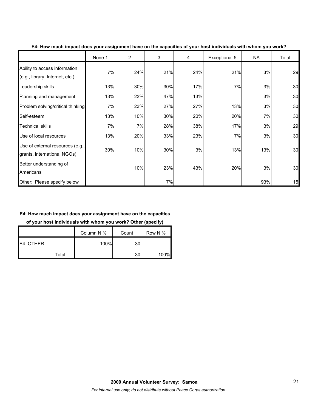|                                                                  | None 1 | $\overline{2}$ | 3   | 4   | Exceptional 5 | <b>NA</b> | Total |
|------------------------------------------------------------------|--------|----------------|-----|-----|---------------|-----------|-------|
| Ability to access information<br>(e.g., library, Internet, etc.) | 7%     | 24%            | 21% | 24% | 21%           | 3%        | 29    |
| Leadership skills                                                | 13%    | 30%            | 30% | 17% | 7%            | 3%        | 30    |
| Planning and management                                          | 13%    | 23%            | 47% | 13% |               | 3%        | 30    |
| Problem solving/critical thinking                                | 7%     | 23%            | 27% | 27% | 13%           | 3%        | 30    |
| Self-esteem                                                      | 13%    | 10%            | 30% | 20% | 20%           | 7%        | 30    |
| <b>Technical skills</b>                                          | 7%     | 7%             | 28% | 38% | 17%           | 3%        | 29    |
| Use of local resources                                           | 13%    | 20%            | 33% | 23% | 7%            | 3%        | 30    |
| Use of external resources (e.g.,<br>grants, international NGOs)  | 30%    | 10%            | 30% | 3%  | 13%           | 13%       | 30    |
| Better understanding of<br>Americans                             |        | 10%            | 23% | 43% | 20%           | 3%        | 30    |
| Other: Please specify below                                      |        |                | 7%  |     |               | 93%       | 15    |

### **E4: How much impact does your assignment have on the capacities of your host individuals with whom you work?**

# **E4: How much impact does your assignment have on the capacities**

**of your host individuals with whom you work? Other (specify)**

|          | Column N % | Count | Row N % |
|----------|------------|-------|---------|
| E4 OTHER | 100%       | 30    |         |
| Total    |            | 30    | 100%    |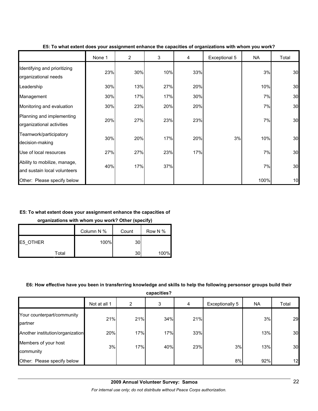|                                                              | None 1 | $\overline{2}$ | 3   | 4   | Exceptional 5 | <b>NA</b> | Total |
|--------------------------------------------------------------|--------|----------------|-----|-----|---------------|-----------|-------|
| Identifying and prioritizing<br>organizational needs         | 23%    | 30%            | 10% | 33% |               | 3%        | 30    |
| Leadership                                                   | 30%    | 13%            | 27% | 20% |               | 10%       | 30    |
| Management                                                   | 30%    | 17%            | 17% | 30% |               | 7%        | 30    |
| Monitoring and evaluation                                    | 30%    | 23%            | 20% | 20% |               | 7%        | 30    |
| Planning and implementing<br>organizational activities       | 20%    | 27%            | 23% | 23% |               | 7%        | 30    |
| Teamwork/participatory<br>decision-making                    | 30%    | 20%            | 17% | 20% | 3%            | 10%       | 30    |
| Use of local resources                                       | 27%    | 27%            | 23% | 17% |               | 7%        | 30    |
| Ability to mobilize, manage,<br>and sustain local volunteers | 40%    | 17%            | 37% |     |               | 7%        | 30    |
| Other: Please specify below                                  |        |                |     |     |               | 100%      | 10    |

#### **E5: To what extent does your assignment enhance the capacities of organizations with whom you work?**

# **E5: To what extent does your assignment enhance the capacities of**

**organizations with whom you work? Other (specify)**

|          |       | Column N % | Count | Row N % |
|----------|-------|------------|-------|---------|
| E5 OTHER |       | 100%       | 30    |         |
|          | Total |            | 30    | 100%    |

#### **E6: How effective have you been in transferring knowledge and skills to help the following personsor groups build their**

**capacities?**

|                                       | Not at all 1 | 2   | 3   | 4   | <b>Exceptionally 5</b> | <b>NA</b> | Total |
|---------------------------------------|--------------|-----|-----|-----|------------------------|-----------|-------|
| Your counterpart/community<br>partner | 21%          | 21% | 34% | 21% |                        | 3%        | 29    |
| Another institution/organization      | 20%          | 17% | 17% | 33% |                        | 13%       | 30    |
| Members of your host<br>community     | 3%           | 17% | 40% | 23% | 3%                     | 13%       | 30    |
| Other: Please specify below           |              |     |     |     | 8%                     | 92%       | 12    |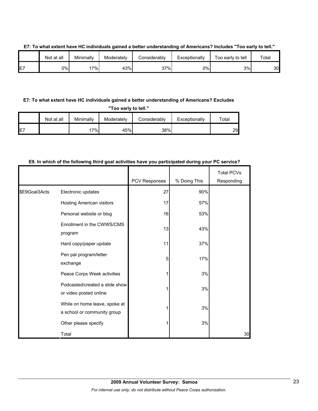|                | Not at all | Minimally | Moderately | Considerabl∨ | Exceptionally | Too early to tell | Total |
|----------------|------------|-----------|------------|--------------|---------------|-------------------|-------|
| <b>E7</b><br>┕ | 0%l        | 7%        | 43%        | 37%          | 0%            | 3%                | 30    |

#### **E7: To what extent have HC individuals gained a better understanding of Americans? Includes "Too early to tell."**

# **E7: To what extent have HC individuals gained a better understanding of Americans? Excludes**

**"Too early to tell."**

|     | Not at all | Minimally | Moderately | Considerably | Exceptionally | $\tau$ otal |
|-----|------------|-----------|------------|--------------|---------------|-------------|
| IE7 |            | 7%        | 45%        | 38%          |               | 29.         |

### **E9. In which of the following third goal activities have you participated during your PC service?**

|               |                                                              | PCV Responses | % Doing This | <b>Total PCVs</b><br>Responding |
|---------------|--------------------------------------------------------------|---------------|--------------|---------------------------------|
| \$E9Goal3Acts | Electronic updates                                           | 27            | 90%          |                                 |
|               | Hosting American visitors                                    | 17            | 57%          |                                 |
|               | Personal website or blog                                     | 16            | 53%          |                                 |
|               | Enrollment in the CWWS/CMS<br>program                        | 13            | 43%          |                                 |
|               | Hard copy/paper update                                       | 11            | 37%          |                                 |
|               | Pen pal program/letter<br>exchange                           | 5             | 17%          |                                 |
|               | Peace Corps Week activities                                  |               | 3%           |                                 |
|               | Podcasted/created a slide show<br>or video posted online     |               | 3%           |                                 |
|               | While on home leave, spoke at<br>a school or community group |               | 3%           |                                 |
|               | Other please specify                                         |               | 3%           |                                 |
|               | Total                                                        |               |              | 30                              |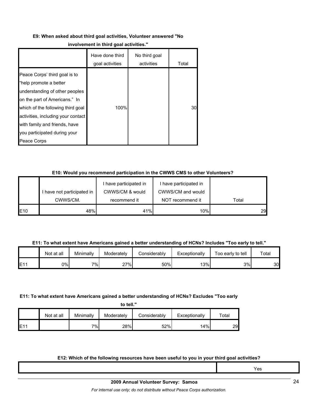#### **E9: When asked about third goal activities, Volunteer answered "No**

#### **involvement in third goal activities."**

|                                                                                                                                                                                                                                                                                       | Have done third<br>goal activities | No third goal<br>activities | Total |
|---------------------------------------------------------------------------------------------------------------------------------------------------------------------------------------------------------------------------------------------------------------------------------------|------------------------------------|-----------------------------|-------|
| Peace Corps' third goal is to<br>"help promote a better<br>understanding of other peoples<br>on the part of Americans." In<br>which of the following third goal<br>activities, including your contact<br>with family and friends, have<br>you participated during your<br>Peace Corps | 100%                               |                             | 30    |

### **E10: Would you recommend participation in the CWWS CMS to other Volunteers?**

|                 |                          | I have participated in | I have participated in |       |
|-----------------|--------------------------|------------------------|------------------------|-------|
|                 | have not participated in | CWWS/CM & would        | CWWS/CM and would      |       |
|                 | CWWS/CM.                 | recommend it           | NOT recommend it       | Total |
| E <sub>10</sub> | 48%                      | 41%                    | 10%                    | 29    |

#### **E11: To what extent have Americans gained a better understanding of HCNs? Includes "Too early to tell."**

|     | Not at all | Minimally | Moderately       | Considerablv | Exceptionallv | Too early to tell | Total |
|-----|------------|-----------|------------------|--------------|---------------|-------------------|-------|
| E1' | 0%l        | $7\%$     | 27%<br><u> 4</u> | 50%          | 13%           | 3%l               | 30    |

#### **E11: To what extent have Americans gained a better understanding of HCNs? Excludes "Too early**

|     | Not at all | Minimally | Moderately | Considerably | Exceptionally | $\tau$ otal |
|-----|------------|-----------|------------|--------------|---------------|-------------|
| E11 |            | $7\%$     | 28%        | 52%          | 14%           | 29          |

#### **E12: Which of the following resources have been useful to you in your third goal activities?**

Yes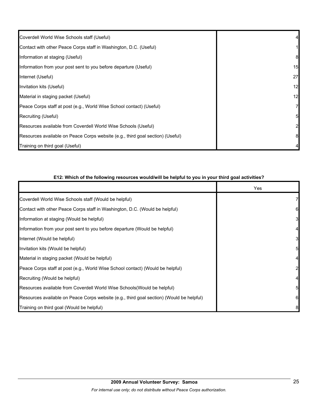| Coverdell World Wise Schools staff (Useful)                                    |    |
|--------------------------------------------------------------------------------|----|
| Contact with other Peace Corps staff in Washington, D.C. (Useful)              |    |
| Information at staging (Useful)                                                | 8  |
| Information from your post sent to you before departure (Useful)               | 15 |
| Internet (Useful)                                                              | 27 |
| Invitation kits (Useful)                                                       | 12 |
| Material in staging packet (Useful)                                            | 12 |
| Peace Corps staff at post (e.g., World Wise School contact) (Useful)           | 7  |
| Recruiting (Useful)                                                            | 5  |
| Resources available from Coverdell World Wise Schools (Useful)                 | 2  |
| Resources available on Peace Corps website (e.g., third goal section) (Useful) | 8  |
| Training on third goal (Useful)                                                |    |

| E12: Which of the following resources would/will be helpful to you in your third goal activities? |     |  |  |  |
|---------------------------------------------------------------------------------------------------|-----|--|--|--|
|                                                                                                   | Yes |  |  |  |
| Coverdell World Wise Schools staff (Would be helpful)                                             |     |  |  |  |
| Contact with other Peace Corps staff in Washington, D.C. (Would be helpful)                       | 6   |  |  |  |
| Information at staging (Would be helpful)                                                         | 3   |  |  |  |
| Information from your post sent to you before departure (Would be helpful)                        |     |  |  |  |
| Internet (Would be helpful)                                                                       | 3   |  |  |  |
| Invitation kits (Would be helpful)                                                                | 5   |  |  |  |
| Material in staging packet (Would be helpful)                                                     |     |  |  |  |
| Peace Corps staff at post (e.g., World Wise School contact) (Would be helpful)                    | 2   |  |  |  |
| Recruiting (Would be helpful)                                                                     |     |  |  |  |
| Resources available from Coverdell World Wise Schools (Would be helpful)                          | 5   |  |  |  |
| Resources available on Peace Corps website (e.g., third goal section) (Would be helpful)          | 6   |  |  |  |
| Training on third goal (Would be helpful)                                                         | 8   |  |  |  |

#### **E12: Which of the following resources would/will be helpful to you in your third goal activities?**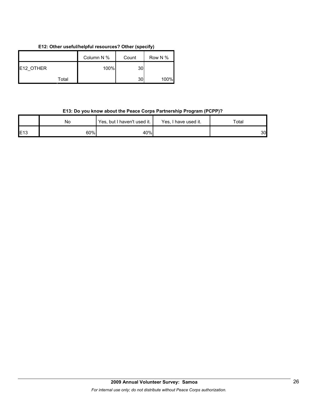# **E12: Other useful/helpful resources? Other (specify)**

|           | Column N % | Count | Row N % |
|-----------|------------|-------|---------|
| E12 OTHER | 100%       | 30    |         |
| Total     |            | 30    | 100%    |

# **E13: Do you know about the Peace Corps Partnership Program (PCPP)?**

|     | No  | Yes, but I haven't used it. | Yes, I have used it. | Total |
|-----|-----|-----------------------------|----------------------|-------|
| E13 | 60% | 40%                         |                      | 30    |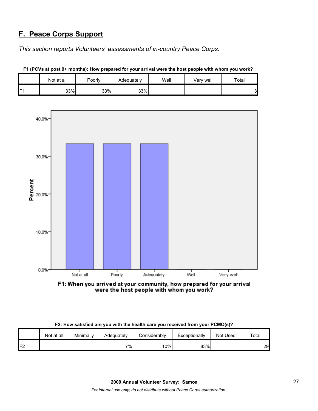# **F. Peace Corps Support**

*This section reports Volunteers' assessments of in-country Peace Corps.* 

|                | Not at all | Poorly | Adequately | Well | Very well | Total |
|----------------|------------|--------|------------|------|-----------|-------|
| F <sub>1</sub> | 33%        | 33%    | 33%        |      |           | ົ     |



**F1 (PCVs at post 9+ months): How prepared for your arrival were the host people with whom you work?**

F1: When you arrived at your community, how prepared for your arrival were the host people with whom you work?

| F2: How satisfied are you with the health care you received from your PCMO(s)? |
|--------------------------------------------------------------------------------|
|--------------------------------------------------------------------------------|

|    | Not at all | Minimally | Adequately | ا onsiderably | Exceptionally | Not Used | Total |
|----|------------|-----------|------------|---------------|---------------|----------|-------|
| 口つ |            |           | 7% i       | 10%           | 83%           |          | 29    |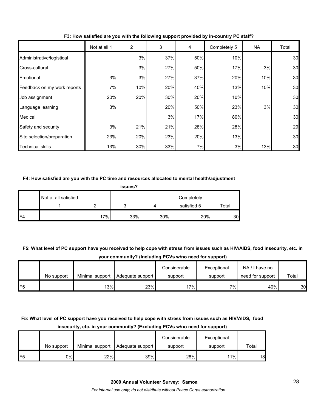|                             | Not at all 1 | 2   | 3   | 4   | Completely 5 | <b>NA</b> | Total |
|-----------------------------|--------------|-----|-----|-----|--------------|-----------|-------|
| Administrative/logistical   |              | 3%  | 37% | 50% | 10%          |           | 30    |
| Cross-cultural              |              | 3%  | 27% | 50% | 17%          | 3%        | 30    |
| Emotional                   | 3%           | 3%  | 27% | 37% | 20%          | 10%       | 30    |
| Feedback on my work reports | 7%           | 10% | 20% | 40% | 13%          | 10%       | 30    |
| Job assignment              | 20%          | 20% | 30% | 20% | 10%          |           | 30    |
| Language learning           | 3%           |     | 20% | 50% | 23%          | 3%        | 30    |
| Medical                     |              |     | 3%  | 17% | 80%          |           | 30    |
| Safety and security         | 3%           | 21% | 21% | 28% | 28%          |           | 29    |
| Site selection/preparation  | 23%          | 20% | 23% | 20% | 13%          |           | 30    |
| <b>Technical skills</b>     | 13%          | 30% | 33% | 7%  | 3%           | 13%       | 30    |

# **F3: How satisfied are you with the following support provided by in-country PC staff?**

### **F4: How satisfied are you with the PC time and resources allocated to mental health/adjustment**

| . .<br>-<br>l |  |
|---------------|--|
|---------------|--|

|     | Not at all satisfied |     |     |     | Completely  |       |
|-----|----------------------|-----|-----|-----|-------------|-------|
|     |                      |     | ື   |     | satisfied 5 | Total |
| IF4 |                      | 17% | 33% | 30% | 20%         | 30    |

# **F5: What level of PC support have you received to help cope with stress from issues such as HIV/AIDS, food insecurity, etc. in your community? (Including PCVs w/no need for support)**

|                |            |                 |                  | Considerable | Exceptional | NA/I have no     |       |
|----------------|------------|-----------------|------------------|--------------|-------------|------------------|-------|
|                | No support | Minimal support | Adequate support | support      | support     | need for support | Total |
| F <sub>5</sub> |            | 13%             | 23%              | 17%          | י%⊺         | 40%              | 30    |

# **F5: What level of PC support have you received to help cope with stress from issues such as HIV/AIDS, food insecurity, etc. in your community? (Excluding PCVs w/no need for support)**

|     |            |                 |                  | Considerable | Exceptional |       |
|-----|------------|-----------------|------------------|--------------|-------------|-------|
|     | No support | Minimal support | Adequate support | support      | support     | Total |
| IF5 | 0%I        | 22%             | 39%              | 28%          | 11%         | 18    |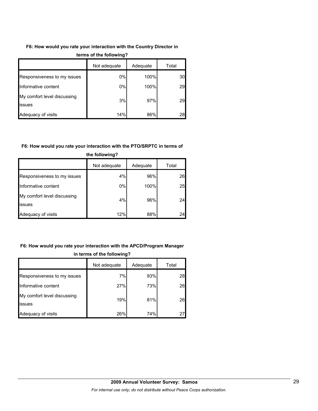# **F6: How would you rate your interaction with the Country Director in**

|                                       | Not adequate | Adequate | Total |  |  |
|---------------------------------------|--------------|----------|-------|--|--|
| Responsiveness to my issues           | 0%           | 100%     | 30    |  |  |
| Informative content                   | 0%           | 100%     | 29    |  |  |
| My comfort level discussing<br>issues | 3%           | 97%      | 29    |  |  |
| Adequacy of visits                    | 14%          | 86%      | 28    |  |  |

#### **terms of the following?**

### **F6: How would you rate your interaction with the PTO/SRPTC in terms of**

|                                       | Not adequate | Adequate | Total |  |  |
|---------------------------------------|--------------|----------|-------|--|--|
| Responsiveness to my issues           | 4%           | 96%      | 26    |  |  |
| Informative content                   | 0%           | 100%     | 25    |  |  |
| My comfort level discussing<br>issues | 4%           | 96%      | 24    |  |  |
| Adequacy of visits                    | 12%          | 88%      | 24    |  |  |

# **the following?**

# **F6: How would you rate your interaction with the APCD/Program Manager in terms of the following?**

|                                       | Not adequate | Adequate | Total |
|---------------------------------------|--------------|----------|-------|
| Responsiveness to my issues           | 7%           | 93%      | 28    |
| Informative content                   | 27%          | 73%      | 26    |
| My comfort level discussing<br>issues | 19%          | 81%      | 26    |
| Adequacy of visits                    | 26%          | 74%      | 27    |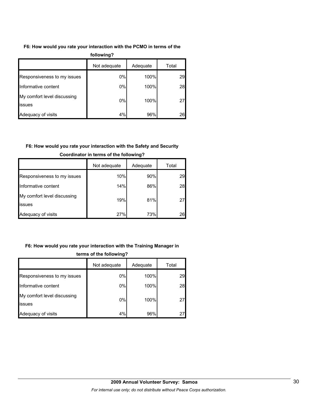# **F6: How would you rate your interaction with the PCMO in terms of the**

| following?                            |              |          |       |  |  |  |
|---------------------------------------|--------------|----------|-------|--|--|--|
|                                       | Not adequate | Adequate | Total |  |  |  |
| Responsiveness to my issues           | $0\%$        | 100%     | 29    |  |  |  |
| Informative content                   | $0\%$        | 100%     | 28    |  |  |  |
| My comfort level discussing<br>issues | $0\%$        | 100%     | 27    |  |  |  |
| Adequacy of visits                    | 4%           | 96%      | 26    |  |  |  |

# **F6: How would you rate your interaction with the Safety and Security**

|                                       | Not adequate | Adequate | Total |
|---------------------------------------|--------------|----------|-------|
| Responsiveness to my issues           | 10%          | 90%      | 29    |
| Informative content                   | 14%          | 86%      | 28    |
| My comfort level discussing<br>issues | 19%          | 81%      | 27    |
| Adequacy of visits                    | 27%          | 73%      | 26    |

# **Coordinator in terms of the following?**

# **F6: How would you rate your interaction with the Training Manager in**

|                                               | Not adequate | Adequate | Total |  |  |
|-----------------------------------------------|--------------|----------|-------|--|--|
| Responsiveness to my issues                   | 0%           | 100%     | 29    |  |  |
| Informative content                           | 0%           | 100%     | 28    |  |  |
| My comfort level discussing<br><b>lissues</b> | 0%           | 100%     | 27    |  |  |
| Adequacy of visits                            | 4%           | 96%      | 27    |  |  |

# **terms of the following?**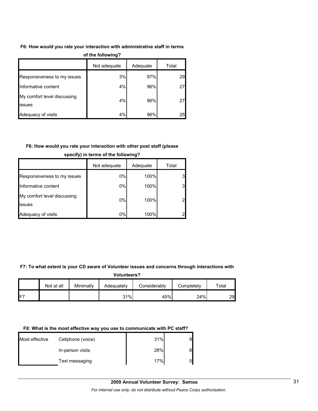### **F6: How would you rate your interaction with administrative staff in terms**

|                                               | $\sim$       |          |       |
|-----------------------------------------------|--------------|----------|-------|
|                                               | Not adequate | Adequate | Total |
| Responsiveness to my issues                   | 3%           | 97%      | 29    |
| Informative content                           | 4%           | 96%      | 27    |
| My comfort level discussing<br><b>lissues</b> | 4%           | 96%      | 27    |
| Adequacy of visits                            | 4%           | 96%      | 25    |

#### **of the following?**

# **F6: How would you rate your interaction with other post staff (please**

|                                       | Not adequate | Adequate | Total          |
|---------------------------------------|--------------|----------|----------------|
| Responsiveness to my issues           | $0\%$        | 100%     | 3              |
| Informative content                   | $0\%$        | 100%     | 3              |
| My comfort level discussing<br>issues | $0\%$        | 100%     | $\overline{2}$ |
| Adequacy of visits                    | 0%           | 100%     | 2              |

#### **specify) in terms of the following?**

#### **F7: To what extent is your CD aware of Volunteer issues and concerns through interactions with**

#### **Volunteers?**

|            | Not at all | Minimally | Adequatelv | Considerably | Completelv | Total |
|------------|------------|-----------|------------|--------------|------------|-------|
| $F^{\tau}$ |            |           | 31%        | 45%          | 24%        | 29.   |

# **F8: What is the most effective way you use to communicate with PC staff?**

| Most effective | Cellphone (voice) | 31% | 9 |
|----------------|-------------------|-----|---|
|                | In-person visits  | 28% | 8 |
|                | Text messaging    | 17% | 5 |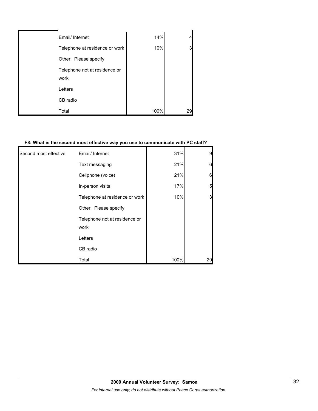| Email/ Internet                       | 14%  |    |
|---------------------------------------|------|----|
| Telephone at residence or work        | 10%  | 3  |
| Other. Please specify                 |      |    |
| Telephone not at residence or<br>work |      |    |
| Letters                               |      |    |
| CB radio                              |      |    |
| Total                                 | 100% | 29 |

### **F8: What is the second most effective way you use to communicate with PC staff?**

| Second most effective | Email/ Internet                       | 31%  | 9  |
|-----------------------|---------------------------------------|------|----|
|                       | Text messaging                        | 21%  | 6  |
|                       | Cellphone (voice)                     | 21%  | 6  |
|                       | In-person visits                      | 17%  | 5  |
|                       | Telephone at residence or work        | 10%  | 3  |
|                       | Other. Please specify                 |      |    |
|                       | Telephone not at residence or<br>work |      |    |
|                       | Letters                               |      |    |
|                       | CB radio                              |      |    |
|                       | Total                                 | 100% | 29 |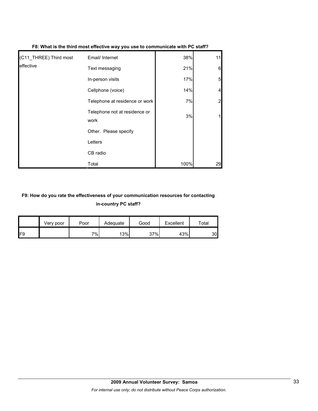| (C11_THREE) Third most | Email/ Internet                       | 38%  | 11 |
|------------------------|---------------------------------------|------|----|
| effective              | Text messaging                        | 21%  | 6  |
|                        | In-person visits                      | 17%  | 5  |
|                        | Cellphone (voice)                     | 14%  |    |
|                        | Telephone at residence or work        | 7%   |    |
|                        | Telephone not at residence or<br>work | 3%   |    |
|                        | Other. Please specify                 |      |    |
|                        | Letters                               |      |    |
|                        | CB radio                              |      |    |
|                        | Total                                 | 100% | 29 |

#### **F8: What is the third most effective way you use to communicate with PC staff?**

# **F9: How do you rate the effectiveness of your communication resources for contacting in-country PC staff?**

|     | Very poor | Poor | Adequate | Good | Excellent | $\tau$ otal |
|-----|-----------|------|----------|------|-----------|-------------|
| IF9 |           | 7%   | 13%      | 37%  | 43%       | 30          |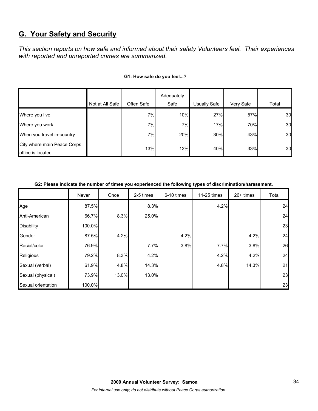# **G. Your Safety and Security**

*This section reports on how safe and informed about their safety Volunteers feel. Their experiences with reported and unreported crimes are summarized.* 

|                                                  |                 |            | Adequately |              |           |       |
|--------------------------------------------------|-----------------|------------|------------|--------------|-----------|-------|
|                                                  | Not at All Safe | Often Safe | Safe       | Usually Safe | Very Safe | Total |
| Where you live                                   |                 | 7%         | 10%        | 27%          | 57%       | 30    |
| Where you work                                   |                 | 7%         | 7%         | 17%          | 70%       | 30    |
| When you travel in-country                       |                 | 7%         | 20%        | 30%          | 43%       | 30    |
| City where main Peace Corps<br>office is located |                 | 13%        | 13%        | 40%          | 33%       | 30    |

### **G1: How safe do you feel...?**

### **G2: Please indicate the number of times you experienced the following types of discrimination/harassment.**

|                    | Never  | Once  | 2-5 times | 6-10 times | 11-25 times | $26+$ times | Total |
|--------------------|--------|-------|-----------|------------|-------------|-------------|-------|
| Age                | 87.5%  |       | 8.3%      |            | 4.2%        |             | 24    |
| Anti-American      | 66.7%  | 8.3%  | 25.0%     |            |             |             | 24    |
| <b>Disability</b>  | 100.0% |       |           |            |             |             | 23    |
| Gender             | 87.5%  | 4.2%  |           | 4.2%       |             | 4.2%        | 24    |
| Racial/color       | 76.9%  |       | 7.7%      | 3.8%       | 7.7%        | 3.8%        | 26    |
| Religious          | 79.2%  | 8.3%  | 4.2%      |            | 4.2%        | 4.2%        | 24    |
| Sexual (verbal)    | 61.9%  | 4.8%  | 14.3%     |            | 4.8%        | 14.3%       | 21    |
| Sexual (physical)  | 73.9%  | 13.0% | 13.0%     |            |             |             | 23    |
| Sexual orientation | 100.0% |       |           |            |             |             | 23    |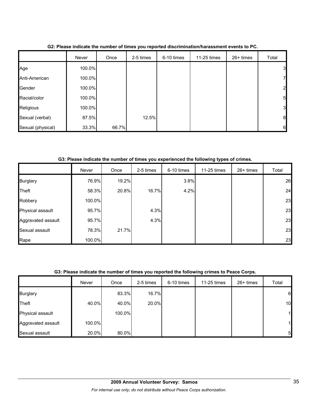|                   | Never  | Once  | 2-5 times | 6-10 times | 11-25 times | 26+ times | Total            |
|-------------------|--------|-------|-----------|------------|-------------|-----------|------------------|
| Age               | 100.0% |       |           |            |             |           | 3 <sub>l</sub>   |
| Anti-American     | 100.0% |       |           |            |             |           | $\mathbf{z}$     |
| Gender            | 100.0% |       |           |            |             |           | $\overline{2}$   |
| Racial/color      | 100.0% |       |           |            |             |           | 5 <sub>5</sub>   |
| Religious         | 100.0% |       |           |            |             |           | 3                |
| Sexual (verbal)   | 87.5%  |       | 12.5%     |            |             |           | $\boldsymbol{8}$ |
| Sexual (physical) | 33.3%  | 66.7% |           |            |             |           | 6                |

**G2: Please indicate the number of times you reported discrimination/harassment events to PC.**

**G3: Please indicate the number of times you experienced the following types of crimes.**

|                    | Never  | Once  | 2-5 times | 6-10 times | 11-25 times | $26+$ times | Total |
|--------------------|--------|-------|-----------|------------|-------------|-------------|-------|
| <b>Burglary</b>    | 76.9%  | 19.2% |           | 3.8%       |             |             | 26    |
| Theft              | 58.3%  | 20.8% | 16.7%     | 4.2%       |             |             | 24    |
| Robbery            | 100.0% |       |           |            |             |             | 23    |
| Physical assault   | 95.7%  |       | 4.3%      |            |             |             | 23    |
| Aggravated assault | 95.7%  |       | 4.3%      |            |             |             | 23    |
| Sexual assault     | 78.3%  | 21.7% |           |            |             |             | 23    |
| Rape               | 100.0% |       |           |            |             |             | 23    |

# **G3: Please indicate the number of times you reported the following crimes to Peace Corps.**

|                    | Never  | Once   | 2-5 times | 6-10 times | 11-25 times | 26+ times | Total        |
|--------------------|--------|--------|-----------|------------|-------------|-----------|--------------|
| <b>Burglary</b>    |        | 83.3%  | 16.7%     |            |             |           | 6            |
| <b>Theft</b>       | 40.0%  | 40.0%  | 20.0%     |            |             |           | 10           |
| Physical assault   |        | 100.0% |           |            |             |           | $\mathbf{1}$ |
| Aggravated assault | 100.0% |        |           |            |             |           | 1            |
| Sexual assault     | 20.0%  | 80.0%  |           |            |             |           | 5            |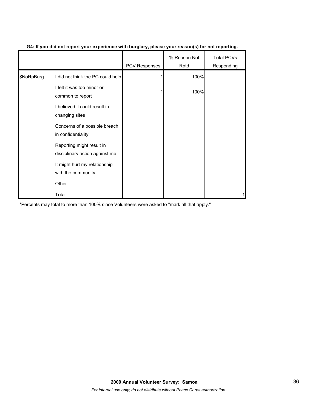|            |                                                             | PCV Responses | % Reason Not<br>Rptd | <b>Total PCVs</b><br>Responding |
|------------|-------------------------------------------------------------|---------------|----------------------|---------------------------------|
| \$NoRpBurg | I did not think the PC could help                           |               | 100%                 |                                 |
|            | I felt it was too minor or<br>common to report              |               | 100%                 |                                 |
|            | I believed it could result in<br>changing sites             |               |                      |                                 |
|            | Concerns of a possible breach<br>in confidentiality         |               |                      |                                 |
|            | Reporting might result in<br>disciplinary action against me |               |                      |                                 |
|            | It might hurt my relationship<br>with the community         |               |                      |                                 |
|            | Other                                                       |               |                      |                                 |
|            | Total                                                       |               |                      |                                 |

# **G4: If you did not report your experience with burglary, please your reason(s) for not reporting.**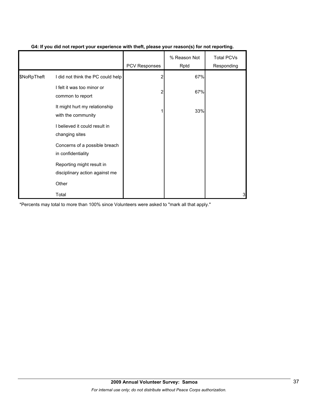|             |                                                             | PCV Responses | % Reason Not<br>Rptd | <b>Total PCVs</b><br>Responding |
|-------------|-------------------------------------------------------------|---------------|----------------------|---------------------------------|
| \$NoRpTheft | I did not think the PC could help                           | 2             | 67%                  |                                 |
|             | I felt it was too minor or<br>common to report              | 2             | 67%                  |                                 |
|             | It might hurt my relationship<br>with the community         |               | 33%                  |                                 |
|             | I believed it could result in<br>changing sites             |               |                      |                                 |
|             | Concerns of a possible breach<br>in confidentiality         |               |                      |                                 |
|             | Reporting might result in<br>disciplinary action against me |               |                      |                                 |
|             | Other                                                       |               |                      |                                 |
|             | Total                                                       |               |                      | 3                               |

# **G4: If you did not report your experience with theft, please your reason(s) for not reporting.**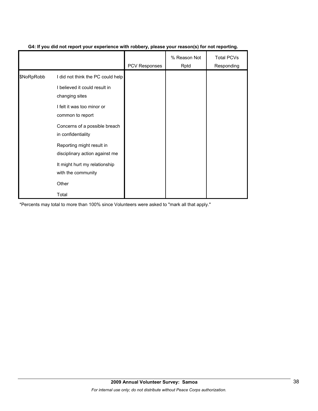|            |                                                             | PCV Responses | % Reason Not<br>Rptd | <b>Total PCVs</b><br>Responding |
|------------|-------------------------------------------------------------|---------------|----------------------|---------------------------------|
| \$NoRpRobb | I did not think the PC could help                           |               |                      |                                 |
|            | I believed it could result in<br>changing sites             |               |                      |                                 |
|            | I felt it was too minor or<br>common to report              |               |                      |                                 |
|            | Concerns of a possible breach<br>in confidentiality         |               |                      |                                 |
|            | Reporting might result in<br>disciplinary action against me |               |                      |                                 |
|            | It might hurt my relationship<br>with the community         |               |                      |                                 |
|            | Other                                                       |               |                      |                                 |
|            | Total                                                       |               |                      |                                 |

# **G4: If you did not report your experience with robbery, please your reason(s) for not reporting.**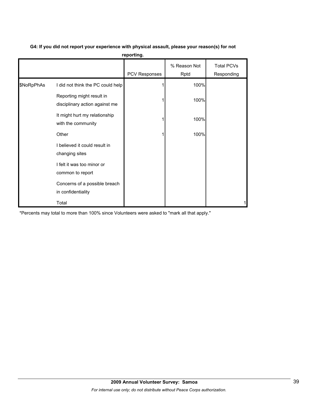|            |                                                             | PCV Responses | % Reason Not<br>Rptd | <b>Total PCVs</b><br>Responding |
|------------|-------------------------------------------------------------|---------------|----------------------|---------------------------------|
| \$NoRpPhAs | I did not think the PC could help                           |               | 100%                 |                                 |
|            | Reporting might result in<br>disciplinary action against me |               | 100%                 |                                 |
|            | It might hurt my relationship<br>with the community         |               | 100%                 |                                 |
|            | Other                                                       |               | 100%                 |                                 |
|            | I believed it could result in<br>changing sites             |               |                      |                                 |
|            | I felt it was too minor or<br>common to report              |               |                      |                                 |
|            | Concerns of a possible breach<br>in confidentiality         |               |                      |                                 |
|            | Total                                                       |               |                      |                                 |

# **G4: If you did not report your experience with physical assault, please your reason(s) for not reporting.**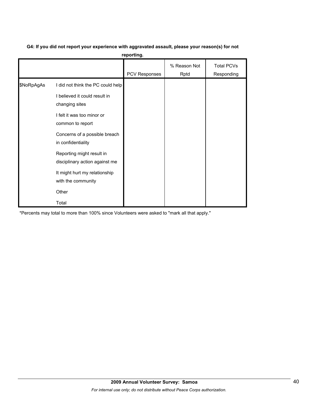# **G4: If you did not report your experience with aggravated assault, please your reason(s) for not**

**reporting.**

|            |                                                                                                                                                                                                                                                                                                                              | PCV Responses | % Reason Not<br>Rptd | <b>Total PCVs</b><br>Responding |
|------------|------------------------------------------------------------------------------------------------------------------------------------------------------------------------------------------------------------------------------------------------------------------------------------------------------------------------------|---------------|----------------------|---------------------------------|
| \$NoRpAgAs | I did not think the PC could help<br>I believed it could result in<br>changing sites<br>I felt it was too minor or<br>common to report<br>Concerns of a possible breach<br>in confidentiality<br>Reporting might result in<br>disciplinary action against me<br>It might hurt my relationship<br>with the community<br>Other |               |                      |                                 |
|            | Total                                                                                                                                                                                                                                                                                                                        |               |                      |                                 |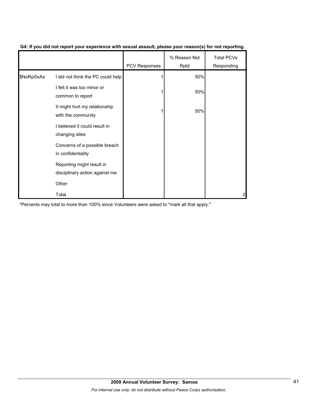|            |                                                             | <b>PCV Responses</b> | % Reason Not<br>Rptd | <b>Total PCVs</b><br>Responding |
|------------|-------------------------------------------------------------|----------------------|----------------------|---------------------------------|
| \$NoRpSxAs | I did not think the PC could help                           |                      | 50%                  |                                 |
|            | I felt it was too minor or<br>common to report              |                      | 50%                  |                                 |
|            | It might hurt my relationship<br>with the community         |                      | 50%                  |                                 |
|            | I believed it could result in<br>changing sites             |                      |                      |                                 |
|            | Concerns of a possible breach<br>in confidentiality         |                      |                      |                                 |
|            | Reporting might result in<br>disciplinary action against me |                      |                      |                                 |
|            | Other                                                       |                      |                      |                                 |
|            | Total                                                       |                      |                      | 2                               |

# **G4: If you did not report your experience with sexual assault, please your reason(s) for not reporting.**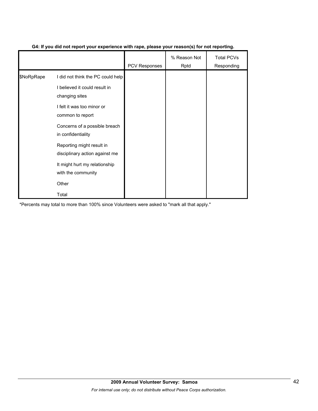|            |                                                             | <b>PCV Responses</b> | % Reason Not<br>Rptd | <b>Total PCVs</b><br>Responding |
|------------|-------------------------------------------------------------|----------------------|----------------------|---------------------------------|
| \$NoRpRape | I did not think the PC could help                           |                      |                      |                                 |
|            | I believed it could result in<br>changing sites             |                      |                      |                                 |
|            | I felt it was too minor or<br>common to report              |                      |                      |                                 |
|            | Concerns of a possible breach<br>in confidentiality         |                      |                      |                                 |
|            | Reporting might result in<br>disciplinary action against me |                      |                      |                                 |
|            | It might hurt my relationship<br>with the community         |                      |                      |                                 |
|            | Other                                                       |                      |                      |                                 |
|            | Total                                                       |                      |                      |                                 |

# **G4: If you did not report your experience with rape, please your reason(s) for not reporting.**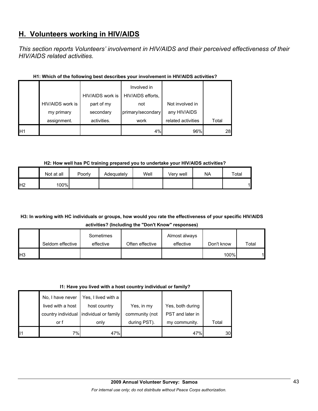# **H. Volunteers working in HIV/AIDS**

*This section reports Volunteers' involvement in HIV/AIDS and their perceived effectiveness of their HIV/AIDS related activities.* 

|                 |                  | HIV/AIDS work is | Involved in<br>HIV/AIDS efforts, |                    |       |
|-----------------|------------------|------------------|----------------------------------|--------------------|-------|
|                 | HIV/AIDS work is | part of my       | not                              | Not involved in    |       |
|                 | my primary       | secondary        | primary/secondary                | any HIV/AIDS       |       |
|                 | assignment.      | activities.      | work                             | related activities | Total |
| IH <sub>1</sub> |                  |                  | 4%                               | 96%                | 28    |

# **H1: Which of the following best describes your involvement in HIV/AIDS activities?**

# **H2: How well has PC training prepared you to undertake your HIV/AIDS activities?**

|                | Not at all | Poorly | Adequately | Well | Verv well | <b>NA</b> | Total |
|----------------|------------|--------|------------|------|-----------|-----------|-------|
| H <sub>2</sub> | 100%       |        |            |      |           |           |       |

# **H3: In working with HC individuals or groups, how would you rate the effectiveness of your specific HIV/AIDS activities? (Including the "Don't Know" responses)**

|                 |                  | Sometimes |                 | Almost always |            |       |
|-----------------|------------------|-----------|-----------------|---------------|------------|-------|
|                 | Seldom effective | effective | Often effective | effective     | Don't know | Total |
| IH <sub>3</sub> |                  |           |                 |               | 100%       |       |

# **I1: Have you lived with a host country individual or family?**

|    | No. I have never<br>lived with a host | Yes, I lived with a<br>host country<br>country individual lindividual or family | Yes, in my<br>community (not | Yes, both during<br>PST and later in |       |
|----|---------------------------------------|---------------------------------------------------------------------------------|------------------------------|--------------------------------------|-------|
|    | or f                                  | only                                                                            | during PST).                 | my community.                        | Total |
| 11 | 7%I                                   | 47%                                                                             |                              | 47%                                  | 30    |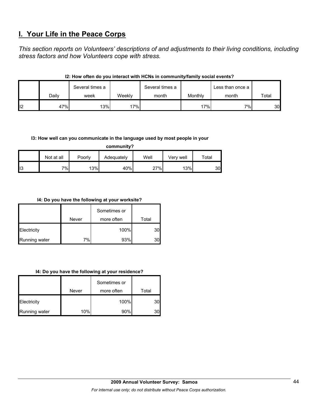# **I. Your Life in the Peace Corps**

*This section reports on Volunteers' descriptions of and adjustments to their living conditions, including stress factors and how Volunteers cope with stress.* 

|    |       | Several times a |        | Several times a |         | Less than once a |       |
|----|-------|-----------------|--------|-----------------|---------|------------------|-------|
|    | Daily | week            | Weekly | month           | Monthly | month            | Total |
| 12 | 47%   | 13%             | 17%    |                 | 17%     | 7%               | 30    |

# **I2: How often do you interact with HCNs in community/family social events?**

### **I3: How well can you communicate in the language used by most people in your**

**community?**

|    | Not at all | Poorly | Adequately | Well | Verv well | $\mathsf{^{r}$ otal |
|----|------------|--------|------------|------|-----------|---------------------|
| 13 | $7\%$      | 13%    | 40%        | 27%  | 13%       | 30                  |

### **I4: Do you have the following at your worksite?**

|               | Never | Sometimes or<br>more often | Total |
|---------------|-------|----------------------------|-------|
| Electricity   |       | 100%                       | 30    |
| Running water | 7%    | 93%                        |       |

#### **I4: Do you have the following at your residence?**

|               |       | Sometimes or |       |
|---------------|-------|--------------|-------|
|               | Never | more often   | Total |
| Electricity   |       | 100%         | 30    |
| Running water | 10%   | 90%          | 30    |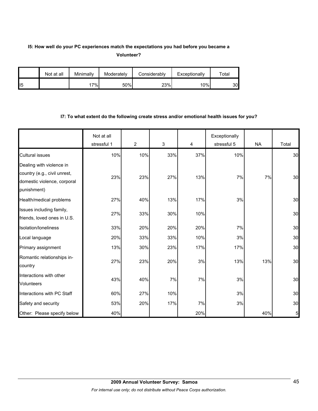# **I5: How well do your PC experiences match the expectations you had before you became a Volunteer?**

|                | Not at all | Minimally | Moderately | Considerably | Exceptionally | $\tau$ otal |
|----------------|------------|-----------|------------|--------------|---------------|-------------|
| $\mathsf{II}5$ |            | 7%        | 50%        | 23%          | 10%           | 30          |

#### **I7: To what extent do the following create stress and/or emotional health issues for you?**

|                                                         | Not at all<br>stressful 1 | $\overline{2}$ | $\mathbf{3}$ | 4   | Exceptionally<br>stressful 5 | <b>NA</b> | Total          |
|---------------------------------------------------------|---------------------------|----------------|--------------|-----|------------------------------|-----------|----------------|
| <b>Cultural issues</b>                                  | 10%                       | 10%            | 33%          | 37% | 10%                          |           | 30             |
| Dealing with violence in                                |                           |                |              |     |                              |           |                |
| country (e.g., civil unrest,                            | 23%                       | 23%            | 27%          | 13% | 7%                           | 7%        | 30             |
| domestic violence, corporal<br>punishment)              |                           |                |              |     |                              |           |                |
| Health/medical problems                                 | 27%                       | 40%            | 13%          | 17% | 3%                           |           | 30             |
| Issues including family,<br>friends, loved ones in U.S. | 27%                       | 33%            | 30%          | 10% |                              |           | 30             |
| Isolation/Ioneliness                                    | 33%                       | 20%            | 20%          | 20% | 7%                           |           | 30             |
| Local language                                          | 20%                       | 33%            | 33%          | 10% | 3%                           |           | 30             |
| Primary assignment                                      | 13%                       | 30%            | 23%          | 17% | 17%                          |           | 30             |
| Romantic relationships in-<br>country                   | 27%                       | 23%            | 20%          | 3%  | 13%                          | 13%       | 30             |
| Interactions with other<br>Volunteers                   | 43%                       | 40%            | 7%           | 7%  | 3%                           |           | 30             |
| Interactions with PC Staff                              | 60%                       | 27%            | 10%          |     | 3%                           |           | 30             |
| Safety and security                                     | 53%                       | 20%            | 17%          | 7%  | 3%                           |           | 30             |
| Other: Please specify below                             | 40%                       |                |              | 20% |                              | 40%       | $\overline{5}$ |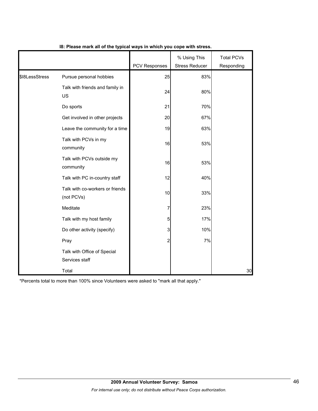|                |                                               |                      | % Using This          | <b>Total PCVs</b> |
|----------------|-----------------------------------------------|----------------------|-----------------------|-------------------|
|                |                                               | <b>PCV Responses</b> | <b>Stress Reducer</b> | Responding        |
| \$18LessStress | Pursue personal hobbies                       | 25                   | 83%                   |                   |
|                | Talk with friends and family in<br>US         | 24                   | 80%                   |                   |
|                | Do sports                                     | 21                   | 70%                   |                   |
|                | Get involved in other projects                | 20                   | 67%                   |                   |
|                | Leave the community for a time                | 19                   | 63%                   |                   |
|                | Talk with PCVs in my<br>community             | 16                   | 53%                   |                   |
|                | Talk with PCVs outside my<br>community        | 16                   | 53%                   |                   |
|                | Talk with PC in-country staff                 | 12                   | 40%                   |                   |
|                | Talk with co-workers or friends<br>(not PCVs) | 10                   | 33%                   |                   |
|                | Meditate                                      | 7                    | 23%                   |                   |
|                | Talk with my host family                      | 5                    | 17%                   |                   |
|                | Do other activity (specify)                   | 3                    | 10%                   |                   |
|                | Pray                                          | 2                    | 7%                    |                   |
|                | Talk with Office of Special<br>Services staff |                      |                       |                   |
|                | Total                                         |                      |                       | 30                |

# **I8: Please mark all of the typical ways in which you cope with stress.**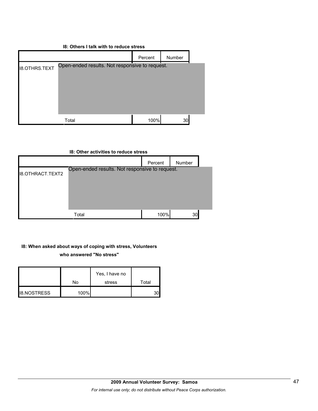# **I8: Others I talk with to reduce stress**

|                      |                                                | Percent | Number |  |
|----------------------|------------------------------------------------|---------|--------|--|
| <b>I8.OTHRS.TEXT</b> | Open-ended results. Not responsive to request. |         |        |  |
|                      |                                                |         |        |  |
|                      | Total                                          | 100%    | 30     |  |

| 18: Other activities to reduce stress |                                                |         |        |  |  |  |
|---------------------------------------|------------------------------------------------|---------|--------|--|--|--|
|                                       |                                                | Percent | Number |  |  |  |
| <b>I8.OTHRACT.TEXT2</b>               | Open-ended results. Not responsive to request. |         |        |  |  |  |
|                                       | Total                                          | 100%    | 30     |  |  |  |

# **I8: When asked about ways of coping with stress, Volunteers**

**who answered "No stress"** 

|                    |      | Yes, I have no |       |
|--------------------|------|----------------|-------|
|                    | No   | stress         | Total |
| <b>IB.NOSTRESS</b> | 100% |                |       |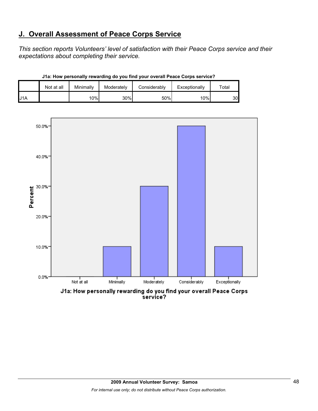# **J. Overall Assessment of Peace Corps Service**

*This section reports Volunteers' level of satisfaction with their Peace Corps service and their expectations about completing their service.* 

|     | Not at all | Minimally | Moderately | Considerably | Exceptionally | $\tau$ otal |
|-----|------------|-----------|------------|--------------|---------------|-------------|
| J1A |            | 10%       | 30%        | 50%          | 10%           | 30.         |

**J1a: How personally rewarding do you find your overall Peace Corps service?**



J1a: How personally rewarding do you find your overall Peace Corps<br>service?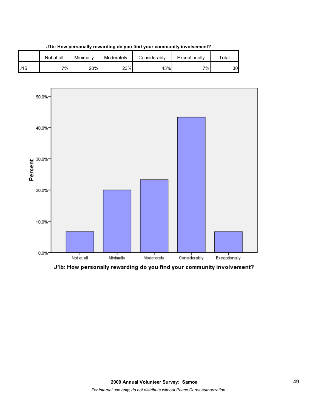

**J1b: How personally rewarding do you find your community involvement?**



J1b: How personally rewarding do you find your community involvement?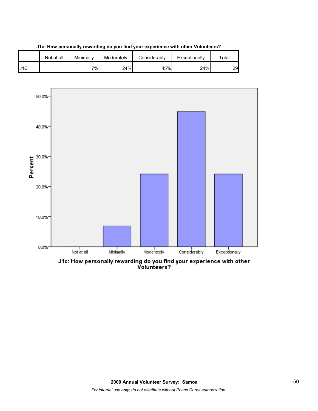





J1c: How personally rewarding do you find your experience with other<br>Volunteers?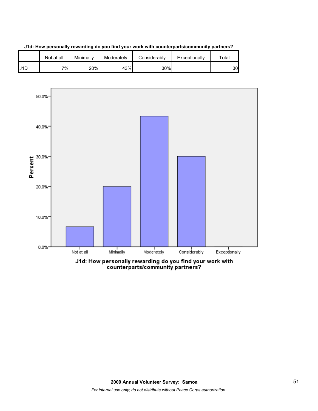



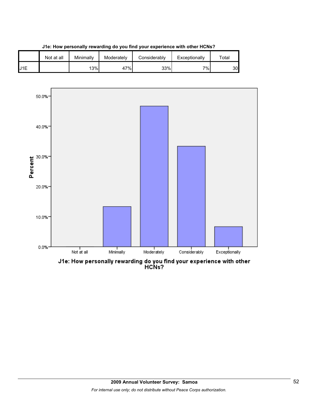



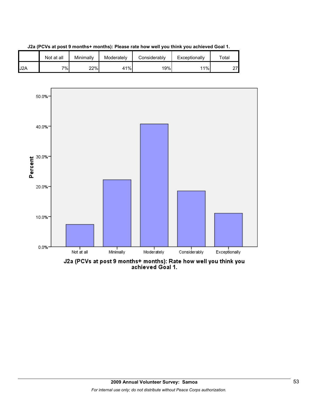





J2a (PCVs at post 9 months+ months): Rate how well you think you<br>achieved Goal 1.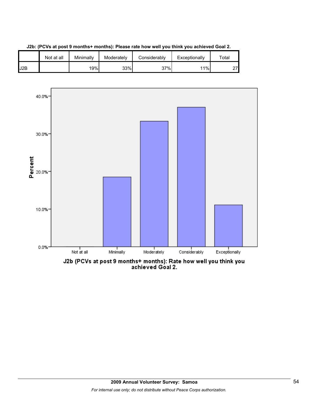





J2b (PCVs at post 9 months+ months): Rate how well you think you<br>achieved Goal 2.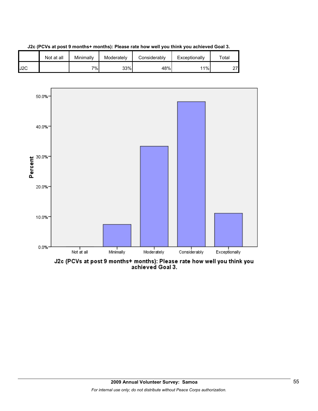





J2c (PCVs at post 9 months+ months): Please rate how well you think you<br>achieved Goal 3.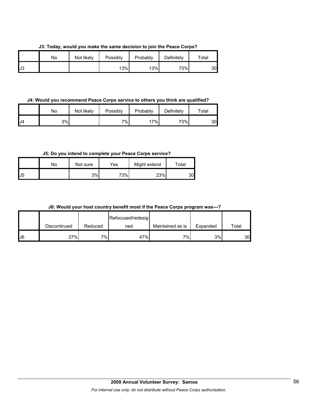**J3: Today, would you make the same decision to join the Peace Corps?**

|    | No | Not likely | Possibly | Probably | Definitely | Total |
|----|----|------------|----------|----------|------------|-------|
| J3 |    |            | 13%      | 13%      | 73%∣       | 30    |

**J4: Would you recommend Peace Corps service to others you think are qualified?**

|     | No | Not likely | Possibly | Probably | Definitely | $\tau$ otal |
|-----|----|------------|----------|----------|------------|-------------|
| IJ4 | 3% |            | 7%       | $7\%$    | 73%        | 30          |

**J5: Do you intend to complete your Peace Corps service?**

|              | No | Not sure | Yes | Might extend | ⊤otal |
|--------------|----|----------|-----|--------------|-------|
| $\mathsf{L}$ |    | 3%       | 73% | 23%          | 30    |

| J6: Would your host country benefit most if the Peace Corps program was---? |  |
|-----------------------------------------------------------------------------|--|
|-----------------------------------------------------------------------------|--|

|     |              |         | Refocused/redesig |                  |          |       |
|-----|--------------|---------|-------------------|------------------|----------|-------|
|     | Discontinued | Reduced | ned               | Maintained as is | Expanded | Total |
| IJ6 | 37%          | $7\%$   | 47%               | 7%               | 3%       | 30    |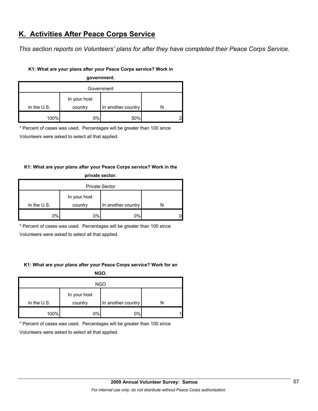# **K. Activities After Peace Corps Service**

*This section reports on Volunteers' plans for after they have completed their Peace Corps Service.* 

# **K1: What are your plans after your Peace Corps service? Work in**

| government.       |         |                    |  |  |  |
|-------------------|---------|--------------------|--|--|--|
| Government        |         |                    |  |  |  |
| In your host      |         |                    |  |  |  |
| In the $U.S.$     | country | In another country |  |  |  |
| 100%<br>50%<br>0% |         |                    |  |  |  |

\* Percent of cases was used. Percentages will be greater than 100 since

Volunteers were asked to select all that applied.

# **K1: What are your plans after your Peace Corps service? Work in the**

| private sector.       |         |                    |  |  |  |
|-----------------------|---------|--------------------|--|--|--|
| <b>Private Sector</b> |         |                    |  |  |  |
| In your host          |         |                    |  |  |  |
| In the $U.S.$         | country | In another country |  |  |  |
| 0%                    | 0%      | 0%                 |  |  |  |

\* Percent of cases was used. Percentages will be greater than 100 since

Volunteers were asked to select all that applied.

# **K1: What are your plans after your Peace Corps service? Work for an**

**NGO.**

| <b>NGO</b>   |         |                    |   |  |  |
|--------------|---------|--------------------|---|--|--|
| In your host |         |                    |   |  |  |
| In the U.S.  | country | In another country |   |  |  |
| 100%         | 0%      | 0%                 | 1 |  |  |

\* Percent of cases was used. Percentages will be greater than 100 since

Volunteers were asked to select all that applied.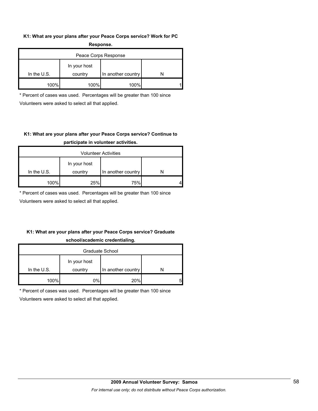### **K1: What are your plans after your Peace Corps service? Work for PC Response.**

| -----------          |                         |                    |  |  |  |
|----------------------|-------------------------|--------------------|--|--|--|
| Peace Corps Response |                         |                    |  |  |  |
| In the $U.S.$        | In your host<br>country | In another country |  |  |  |
| 100%                 | 100%                    | 100%               |  |  |  |

\* Percent of cases was used. Percentages will be greater than 100 since Volunteers were asked to select all that applied.

# **K1: What are your plans after your Peace Corps service? Continue to participate in volunteer activities.**

| <b>Volunteer Activities</b> |                         |                    |  |  |  |
|-----------------------------|-------------------------|--------------------|--|--|--|
| In the $U.S.$               | In your host<br>country | In another country |  |  |  |
|                             |                         |                    |  |  |  |
| 100%                        | 25%                     | 75%                |  |  |  |

\* Percent of cases was used. Percentages will be greater than 100 since

Volunteers were asked to select all that applied.

# **K1: What are your plans after your Peace Corps service? Graduate school/academic credentialing.**

| Graduate School |              |                    |   |  |  |
|-----------------|--------------|--------------------|---|--|--|
|                 | In your host |                    |   |  |  |
| In the $U.S.$   | country      | In another country |   |  |  |
| 100%            | 0%l          | 20%                | 5 |  |  |

\* Percent of cases was used. Percentages will be greater than 100 since

Volunteers were asked to select all that applied.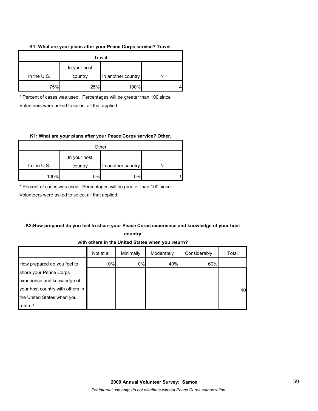### **K1: What are your plans after your Peace Corps service? Travel.**

| Travel      |                         |                    |  |  |
|-------------|-------------------------|--------------------|--|--|
| In the U.S. | In your host<br>country | In another country |  |  |
| 75%         | 25%                     | 100%               |  |  |

\* Percent of cases was used. Percentages will be greater than 100 since Volunteers were asked to select all that applied.

### **K1: What are your plans after your Peace Corps service? Other.**

| Other         |                         |                    |   |  |  |
|---------------|-------------------------|--------------------|---|--|--|
| In the $U.S.$ | In your host<br>country | In another country |   |  |  |
| 100%          | 0%                      | 0%                 | 4 |  |  |

\* Percent of cases was used. Percentages will be greater than 100 since

Volunteers were asked to select all that applied.

# **K2:How prepared do you feel to share your Peace Corps experience and knowledge of your host**

**country** 

**with others in the United States when you return?**

|                                  | Not at all | Minimally | Moderately | Considerably | Total           |
|----------------------------------|------------|-----------|------------|--------------|-----------------|
| How prepared do you feel to      | 0%         | 0%        | 40%        | 60%          |                 |
| share your Peace Corps           |            |           |            |              |                 |
| experience and knowledge of      |            |           |            |              |                 |
| your host country with others in |            |           |            |              | 10 <sup>°</sup> |
| the United States when you       |            |           |            |              |                 |
| return?                          |            |           |            |              |                 |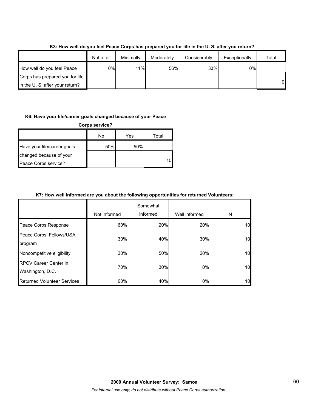|                                 | Not at all | Minimally | Moderately | Considerably | Exceptionally | Total |
|---------------------------------|------------|-----------|------------|--------------|---------------|-------|
| How well do you feel Peace      | 0%l        | 11%       | 56%        | 33%          | 0%            |       |
| Corps has prepared you for life |            |           |            |              |               |       |
| in the U.S. after your return?  |            |           |            |              |               | 9     |

**K3: How well do you feel Peace Corps has prepared you for life in the U. S. after you return?**

### **K6: Have your life/career goals changed because of your Peace**

| <b>Corps service?</b>       |     |     |       |  |  |
|-----------------------------|-----|-----|-------|--|--|
|                             | No  | Yes | Total |  |  |
| Have your life/career goals | 50% | 50% |       |  |  |
| changed because of your     |     |     |       |  |  |
| Peace Corps service?        |     |     | 10    |  |  |

# **K7: How well informed are you about the following opportunities for returned Volunteers:**

|                                                  | Not informed | Somewhat<br>informed | Well informed | N  |
|--------------------------------------------------|--------------|----------------------|---------------|----|
| Peace Corps Response                             | 60%          | 20%                  | 20%           | 10 |
| Peace Corps' Fellows/USA<br>program              | 30%          | 40%                  | 30%           | 10 |
| Noncompetitive eligibility                       | 30%          | 50%                  | 20%           | 10 |
| <b>RPCV Career Center in</b><br>Washington, D.C. | 70%          | 30%                  | 0%            | 10 |
| <b>Returned Volunteer Services</b>               | 60%          | 40%                  | $0\%$         | 10 |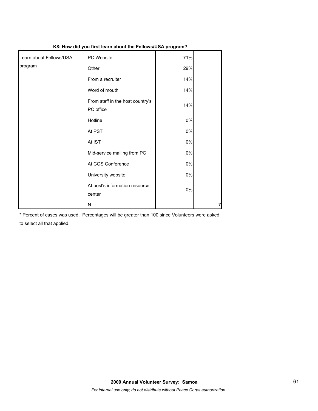| K8: How did you first learn about the Fellows/USA program? |                                               |       |   |  |
|------------------------------------------------------------|-----------------------------------------------|-------|---|--|
| Learn about Fellows/USA                                    | PC Website                                    | 71%   |   |  |
| program                                                    | Other                                         | 29%   |   |  |
|                                                            | From a recruiter                              | 14%   |   |  |
|                                                            | Word of mouth                                 | 14%   |   |  |
|                                                            | From staff in the host country's<br>PC office | 14%   |   |  |
|                                                            | Hotline                                       | $0\%$ |   |  |
|                                                            | At PST                                        | $0\%$ |   |  |
|                                                            | At IST                                        | 0%    |   |  |
|                                                            | Mid-service mailing from PC                   | 0%    |   |  |
|                                                            | At COS Conference                             | $0\%$ |   |  |
|                                                            | University website                            | 0%    |   |  |
|                                                            | At post's information resource<br>center      | $0\%$ |   |  |
|                                                            | N                                             |       | 7 |  |

\* Percent of cases was used. Percentages will be greater than 100 since Volunteers were asked to select all that applied.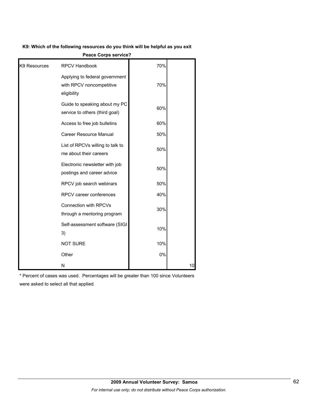#### **K9: Which of the following resources do you think will be helpful as you exit**

|              | <b>Feace Corps Service?</b>                                               |     |    |
|--------------|---------------------------------------------------------------------------|-----|----|
| K9 Resources | <b>RPCV Handbook</b>                                                      | 70% |    |
|              | Applying to federal government<br>with RPCV noncompetitive<br>eligibility | 70% |    |
|              | Guide to speaking about my PC<br>service to others (third goal)           | 60% |    |
|              | Access to free job bulletins                                              | 60% |    |
|              | Career Resource Manual                                                    | 50% |    |
|              | List of RPCVs willing to talk to<br>me about their careers                | 50% |    |
|              | Electronic newsletter with job<br>postings and career advice              | 50% |    |
|              | RPCV job search webinars                                                  | 50% |    |
|              | RPCV career conferences                                                   | 40% |    |
|              | Connection with RPCVs<br>through a mentoring program                      | 30% |    |
|              | Self-assessment software (SIGI<br>3)                                      | 10% |    |
|              | <b>NOT SURE</b>                                                           | 10% |    |
|              | Other                                                                     | 0%  |    |
|              | N                                                                         |     | 10 |

**Peace Corps service?**

\* Percent of cases was used. Percentages will be greater than 100 since Volunteers were asked to select all that applied.